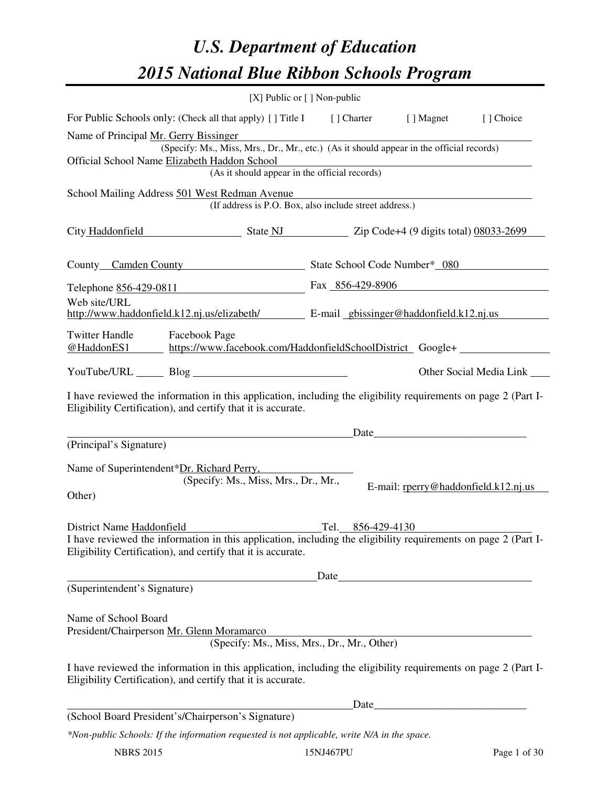# *U.S. Department of Education 2015 National Blue Ribbon Schools Program*

|                                                                                                                                                                                |                      |                                                                 | [X] Public or $[$ ] Non-public |                                                                                          |                                                          |
|--------------------------------------------------------------------------------------------------------------------------------------------------------------------------------|----------------------|-----------------------------------------------------------------|--------------------------------|------------------------------------------------------------------------------------------|----------------------------------------------------------|
| For Public Schools only: (Check all that apply) [] Title I [] Charter [] Magnet                                                                                                |                      |                                                                 |                                |                                                                                          | [] Choice                                                |
| Name of Principal Mr. Gerry Bissinger                                                                                                                                          |                      |                                                                 |                                | (Specify: Ms., Miss, Mrs., Dr., Mr., etc.) (As it should appear in the official records) |                                                          |
| Official School Name Elizabeth Haddon School                                                                                                                                   |                      |                                                                 |                                | Tradition of the official records)<br>(As it should appear in the official records)      |                                                          |
|                                                                                                                                                                                |                      |                                                                 |                                |                                                                                          |                                                          |
| School Mailing Address 501 West Redman Avenue                                                                                                                                  |                      | (If address is P.O. Box, also include street address.)          |                                |                                                                                          |                                                          |
| City Haddonfield State NJ State 2ip Code+4 (9 digits total) 08033-2699                                                                                                         |                      |                                                                 |                                |                                                                                          |                                                          |
| County Camden County State School Code Number* 080                                                                                                                             |                      |                                                                 |                                |                                                                                          |                                                          |
| Telephone 856-429-0811 Fax 856-429-8906                                                                                                                                        |                      |                                                                 |                                |                                                                                          |                                                          |
| Web site/URL<br>http://www.haddonfield.k12.nj.us/elizabeth/ E-mail_gbissinger@haddonfield.k12.nj.us                                                                            |                      |                                                                 |                                |                                                                                          |                                                          |
| <b>Twitter Handle</b><br><u>@HaddonES1 https://www.facebook.com/HaddonfieldSchoolDistrict</u> Google+                                                                          | <b>Facebook Page</b> |                                                                 |                                |                                                                                          |                                                          |
|                                                                                                                                                                                |                      |                                                                 |                                |                                                                                          | Other Social Media Link                                  |
| I have reviewed the information in this application, including the eligibility requirements on page 2 (Part I-<br>Eligibility Certification), and certify that it is accurate. |                      |                                                                 |                                |                                                                                          |                                                          |
|                                                                                                                                                                                |                      | <u> 1989 - Johann Barn, mars an t-Amerikaansk kommunister (</u> |                                |                                                                                          |                                                          |
| (Principal's Signature)                                                                                                                                                        |                      |                                                                 |                                |                                                                                          |                                                          |
| Name of Superintendent*Dr. Richard Perry,                                                                                                                                      |                      | (Specify: Ms., Miss, Mrs., Dr., Mr.,                            |                                |                                                                                          |                                                          |
| Other)                                                                                                                                                                         |                      |                                                                 |                                | E-mail: rperry@haddonfield.k12.nj.us                                                     |                                                          |
| District Name Haddonfield                                                                                                                                                      |                      |                                                                 |                                | Tel. 856-429-4130                                                                        |                                                          |
| I have reviewed the information in this application, including the eligibility requirements on page 2 (Part I-<br>Eligibility Certification), and certify that it is accurate. |                      |                                                                 |                                |                                                                                          |                                                          |
|                                                                                                                                                                                |                      |                                                                 |                                | Date                                                                                     |                                                          |
| (Superintendent's Signature)                                                                                                                                                   |                      |                                                                 |                                |                                                                                          |                                                          |
| Name of School Board<br>President/Chairperson Mr. Glenn Moramarco                                                                                                              |                      | n Moramarco<br>(Specify: Ms., Miss, Mrs., Dr., Mr., Other)      |                                |                                                                                          |                                                          |
| I have reviewed the information in this application, including the eligibility requirements on page 2 (Part I-<br>Eligibility Certification), and certify that it is accurate. |                      |                                                                 |                                |                                                                                          |                                                          |
|                                                                                                                                                                                |                      |                                                                 | Date                           |                                                                                          | <u> 1989 - Johann John Stone, mars eta biztanleria (</u> |
| (School Board President's/Chairperson's Signature)                                                                                                                             |                      |                                                                 |                                |                                                                                          |                                                          |
| *Non-public Schools: If the information requested is not applicable, write N/A in the space.                                                                                   |                      |                                                                 |                                |                                                                                          |                                                          |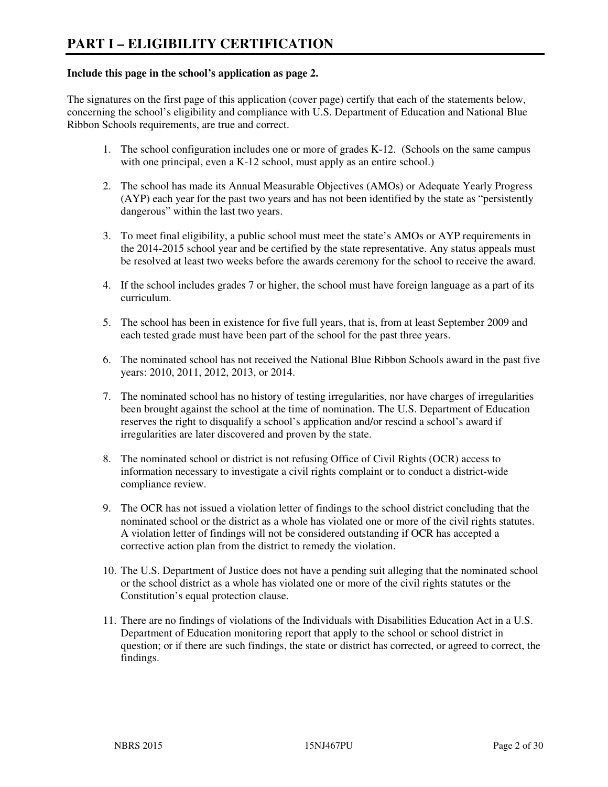#### **Include this page in the school's application as page 2.**

The signatures on the first page of this application (cover page) certify that each of the statements below, concerning the school's eligibility and compliance with U.S. Department of Education and National Blue Ribbon Schools requirements, are true and correct.

- 1. The school configuration includes one or more of grades K-12. (Schools on the same campus with one principal, even a K-12 school, must apply as an entire school.)
- 2. The school has made its Annual Measurable Objectives (AMOs) or Adequate Yearly Progress (AYP) each year for the past two years and has not been identified by the state as "persistently dangerous" within the last two years.
- 3. To meet final eligibility, a public school must meet the state's AMOs or AYP requirements in the 2014-2015 school year and be certified by the state representative. Any status appeals must be resolved at least two weeks before the awards ceremony for the school to receive the award.
- 4. If the school includes grades 7 or higher, the school must have foreign language as a part of its curriculum.
- 5. The school has been in existence for five full years, that is, from at least September 2009 and each tested grade must have been part of the school for the past three years.
- 6. The nominated school has not received the National Blue Ribbon Schools award in the past five years: 2010, 2011, 2012, 2013, or 2014.
- 7. The nominated school has no history of testing irregularities, nor have charges of irregularities been brought against the school at the time of nomination. The U.S. Department of Education reserves the right to disqualify a school's application and/or rescind a school's award if irregularities are later discovered and proven by the state.
- 8. The nominated school or district is not refusing Office of Civil Rights (OCR) access to information necessary to investigate a civil rights complaint or to conduct a district-wide compliance review.
- 9. The OCR has not issued a violation letter of findings to the school district concluding that the nominated school or the district as a whole has violated one or more of the civil rights statutes. A violation letter of findings will not be considered outstanding if OCR has accepted a corrective action plan from the district to remedy the violation.
- 10. The U.S. Department of Justice does not have a pending suit alleging that the nominated school or the school district as a whole has violated one or more of the civil rights statutes or the Constitution's equal protection clause.
- 11. There are no findings of violations of the Individuals with Disabilities Education Act in a U.S. Department of Education monitoring report that apply to the school or school district in question; or if there are such findings, the state or district has corrected, or agreed to correct, the findings.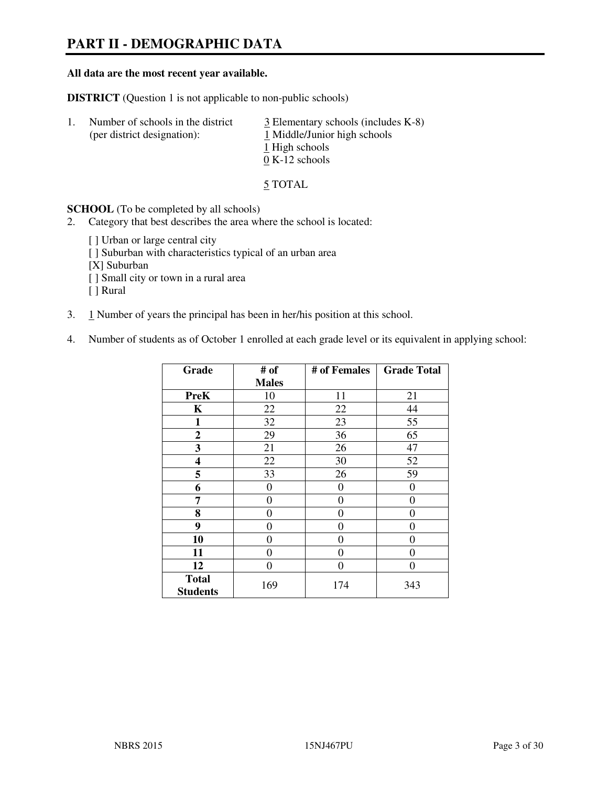# **PART II - DEMOGRAPHIC DATA**

#### **All data are the most recent year available.**

**DISTRICT** (Question 1 is not applicable to non-public schools)

| -1. | Number of schools in the district<br>(per district designation): | $\frac{3}{2}$ Elementary schools (includes K-8)<br>1 Middle/Junior high schools<br>1 High schools<br>$0 K-12$ schools |
|-----|------------------------------------------------------------------|-----------------------------------------------------------------------------------------------------------------------|
|     |                                                                  |                                                                                                                       |

5 TOTAL

**SCHOOL** (To be completed by all schools)

- 2. Category that best describes the area where the school is located:
	- [ ] Urban or large central city
	- [ ] Suburban with characteristics typical of an urban area
	- [X] Suburban
	- [ ] Small city or town in a rural area
	- [ ] Rural
- 3. 1 Number of years the principal has been in her/his position at this school.
- 4. Number of students as of October 1 enrolled at each grade level or its equivalent in applying school:

| Grade                           | # of         | # of Females | <b>Grade Total</b> |
|---------------------------------|--------------|--------------|--------------------|
|                                 | <b>Males</b> |              |                    |
| <b>PreK</b>                     | 10           | 11           | 21                 |
| K                               | 22           | 22           | 44                 |
| $\mathbf{1}$                    | 32           | 23           | 55                 |
| $\mathbf{2}$                    | 29           | 36           | 65                 |
| 3                               | 21           | 26           | 47                 |
| 4                               | 22           | 30           | 52                 |
| 5                               | 33           | 26           | 59                 |
| 6                               | 0            | 0            | $\theta$           |
| 7                               | 0            | $\theta$     | 0                  |
| 8                               | 0            | 0            | 0                  |
| 9                               | $\theta$     | 0            | 0                  |
| 10                              | 0            | 0            | 0                  |
| 11                              | 0            | 0            | $\theta$           |
| 12                              | 0            | 0            | 0                  |
| <b>Total</b><br><b>Students</b> | 169          | 174          | 343                |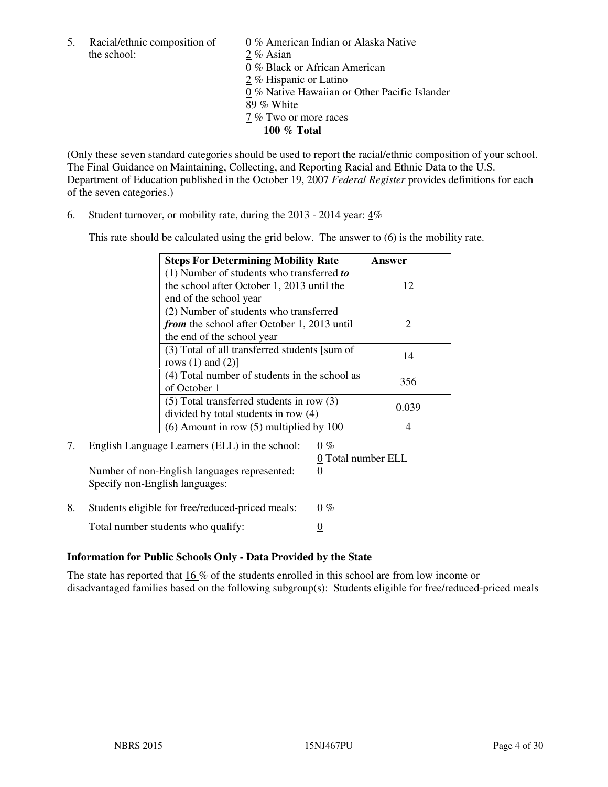5. Racial/ethnic composition of  $0\%$  American Indian or Alaska Native the school: 2 % Asian

 0 % Black or African American 2 % Hispanic or Latino 0 % Native Hawaiian or Other Pacific Islander 89 % White 7 % Two or more races **100 % Total** 

(Only these seven standard categories should be used to report the racial/ethnic composition of your school. The Final Guidance on Maintaining, Collecting, and Reporting Racial and Ethnic Data to the U.S. Department of Education published in the October 19, 2007 *Federal Register* provides definitions for each of the seven categories.)

6. Student turnover, or mobility rate, during the 2013 - 2014 year: 4%

This rate should be calculated using the grid below. The answer to (6) is the mobility rate.

| <b>Steps For Determining Mobility Rate</b>         | Answer                |
|----------------------------------------------------|-----------------------|
| $(1)$ Number of students who transferred to        |                       |
| the school after October 1, 2013 until the         | 12                    |
| end of the school year                             |                       |
| (2) Number of students who transferred             |                       |
| <i>from</i> the school after October 1, 2013 until | $\mathcal{D}_{\cdot}$ |
| the end of the school year                         |                       |
| (3) Total of all transferred students [sum of      | 14                    |
| rows $(1)$ and $(2)$ ]                             |                       |
| (4) Total number of students in the school as      | 356                   |
| of October 1                                       |                       |
| $(5)$ Total transferred students in row $(3)$      | 0.039                 |
| divided by total students in row (4)               |                       |
| $(6)$ Amount in row $(5)$ multiplied by 100        |                       |

#### 7. English Language Learners (ELL) in the school:  $0\%$ 0 Total number ELL

Number of non-English languages represented: 0 Specify non-English languages:

8. Students eligible for free/reduced-priced meals:  $0\%$ Total number students who qualify:  $\qquad \qquad \frac{0}{0}$ 

#### **Information for Public Schools Only - Data Provided by the State**

The state has reported that  $16\%$  of the students enrolled in this school are from low income or disadvantaged families based on the following subgroup(s): Students eligible for free/reduced-priced meals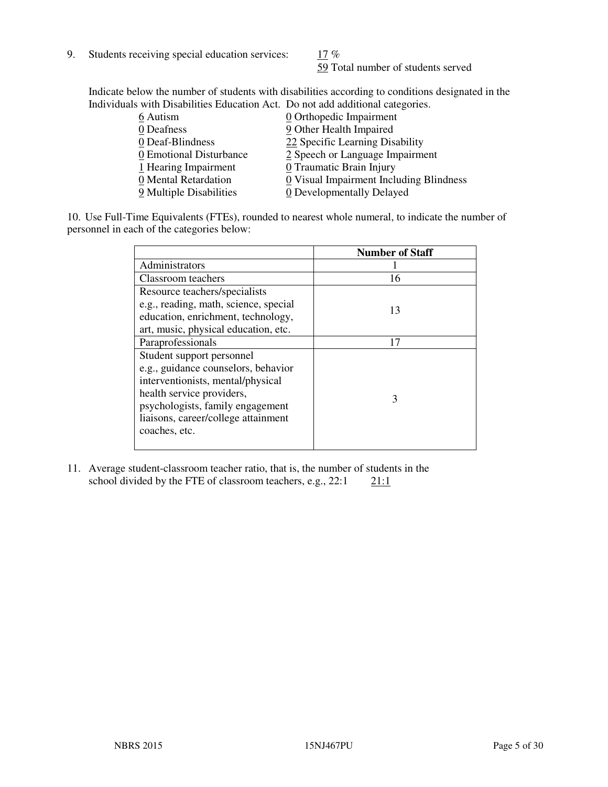9. Students receiving special education services:  $17\%$ 

59 Total number of students served

Indicate below the number of students with disabilities according to conditions designated in the Individuals with Disabilities Education Act. Do not add additional categories.

| 6 Autism                | 0 Orthopedic Impairment                 |
|-------------------------|-----------------------------------------|
| 0 Deafness              | 9 Other Health Impaired                 |
| 0 Deaf-Blindness        | 22 Specific Learning Disability         |
| 0 Emotional Disturbance | 2 Speech or Language Impairment         |
| 1 Hearing Impairment    | 0 Traumatic Brain Injury                |
| 0 Mental Retardation    | 0 Visual Impairment Including Blindness |
| 9 Multiple Disabilities | 0 Developmentally Delayed               |
|                         |                                         |

10. Use Full-Time Equivalents (FTEs), rounded to nearest whole numeral, to indicate the number of personnel in each of the categories below:

|                                       | <b>Number of Staff</b> |
|---------------------------------------|------------------------|
| Administrators                        |                        |
| Classroom teachers                    | 16                     |
| Resource teachers/specialists         |                        |
| e.g., reading, math, science, special | 13                     |
| education, enrichment, technology,    |                        |
| art, music, physical education, etc.  |                        |
| Paraprofessionals                     | 17                     |
| Student support personnel             |                        |
| e.g., guidance counselors, behavior   |                        |
| interventionists, mental/physical     |                        |
| health service providers,             | 3                      |
| psychologists, family engagement      |                        |
| liaisons, career/college attainment   |                        |
| coaches, etc.                         |                        |
|                                       |                        |

11. Average student-classroom teacher ratio, that is, the number of students in the school divided by the FTE of classroom teachers, e.g.,  $22:1$  21:1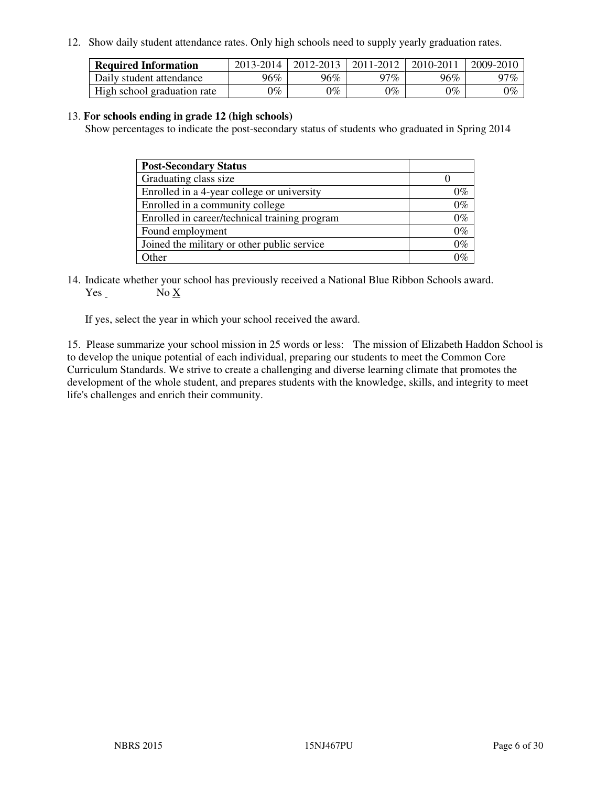12. Show daily student attendance rates. Only high schools need to supply yearly graduation rates.

| <b>Required Information</b> | 2013-2014 | 2012-2013 | 2011-2012 | 2010-2011 | 2009-2010 |
|-----------------------------|-----------|-----------|-----------|-----------|-----------|
| Daily student attendance    | 96%       | $96\%$    | 97%       | 96%       | 97%       |
| High school graduation rate | 9%        | $0\%$     | $0\%$     | 0%        | $0\%$     |

#### 13. **For schools ending in grade 12 (high schools)**

Show percentages to indicate the post-secondary status of students who graduated in Spring 2014

| <b>Post-Secondary Status</b>                  |       |
|-----------------------------------------------|-------|
| Graduating class size                         |       |
| Enrolled in a 4-year college or university    | በ‰    |
| Enrolled in a community college               | $0\%$ |
| Enrolled in career/technical training program | $0\%$ |
| Found employment                              | $0\%$ |
| Joined the military or other public service   | $0\%$ |
| Other                                         |       |

14. Indicate whether your school has previously received a National Blue Ribbon Schools award. Yes No X

If yes, select the year in which your school received the award.

15. Please summarize your school mission in 25 words or less: The mission of Elizabeth Haddon School is to develop the unique potential of each individual, preparing our students to meet the Common Core Curriculum Standards. We strive to create a challenging and diverse learning climate that promotes the development of the whole student, and prepares students with the knowledge, skills, and integrity to meet life's challenges and enrich their community.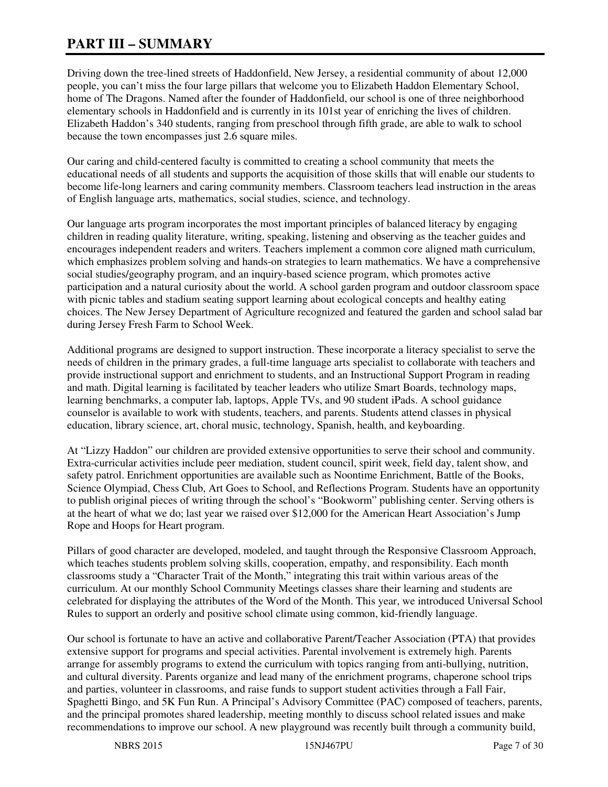# **PART III – SUMMARY**

Driving down the tree-lined streets of Haddonfield, New Jersey, a residential community of about 12,000 people, you can't miss the four large pillars that welcome you to Elizabeth Haddon Elementary School, home of The Dragons. Named after the founder of Haddonfield, our school is one of three neighborhood elementary schools in Haddonfield and is currently in its 101st year of enriching the lives of children. Elizabeth Haddon's 340 students, ranging from preschool through fifth grade, are able to walk to school because the town encompasses just 2.6 square miles.

Our caring and child-centered faculty is committed to creating a school community that meets the educational needs of all students and supports the acquisition of those skills that will enable our students to become life-long learners and caring community members. Classroom teachers lead instruction in the areas of English language arts, mathematics, social studies, science, and technology.

Our language arts program incorporates the most important principles of balanced literacy by engaging children in reading quality literature, writing, speaking, listening and observing as the teacher guides and encourages independent readers and writers. Teachers implement a common core aligned math curriculum, which emphasizes problem solving and hands-on strategies to learn mathematics. We have a comprehensive social studies/geography program, and an inquiry-based science program, which promotes active participation and a natural curiosity about the world. A school garden program and outdoor classroom space with picnic tables and stadium seating support learning about ecological concepts and healthy eating choices. The New Jersey Department of Agriculture recognized and featured the garden and school salad bar during Jersey Fresh Farm to School Week.

Additional programs are designed to support instruction. These incorporate a literacy specialist to serve the needs of children in the primary grades, a full-time language arts specialist to collaborate with teachers and provide instructional support and enrichment to students, and an Instructional Support Program in reading and math. Digital learning is facilitated by teacher leaders who utilize Smart Boards, technology maps, learning benchmarks, a computer lab, laptops, Apple TVs, and 90 student iPads. A school guidance counselor is available to work with students, teachers, and parents. Students attend classes in physical education, library science, art, choral music, technology, Spanish, health, and keyboarding.

At "Lizzy Haddon" our children are provided extensive opportunities to serve their school and community. Extra-curricular activities include peer mediation, student council, spirit week, field day, talent show, and safety patrol. Enrichment opportunities are available such as Noontime Enrichment, Battle of the Books, Science Olympiad, Chess Club, Art Goes to School, and Reflections Program. Students have an opportunity to publish original pieces of writing through the school's "Bookworm" publishing center. Serving others is at the heart of what we do; last year we raised over \$12,000 for the American Heart Association's Jump Rope and Hoops for Heart program.

Pillars of good character are developed, modeled, and taught through the Responsive Classroom Approach, which teaches students problem solving skills, cooperation, empathy, and responsibility. Each month classrooms study a "Character Trait of the Month," integrating this trait within various areas of the curriculum. At our monthly School Community Meetings classes share their learning and students are celebrated for displaying the attributes of the Word of the Month. This year, we introduced Universal School Rules to support an orderly and positive school climate using common, kid-friendly language.

Our school is fortunate to have an active and collaborative Parent/Teacher Association (PTA) that provides extensive support for programs and special activities. Parental involvement is extremely high. Parents arrange for assembly programs to extend the curriculum with topics ranging from anti-bullying, nutrition, and cultural diversity. Parents organize and lead many of the enrichment programs, chaperone school trips and parties, volunteer in classrooms, and raise funds to support student activities through a Fall Fair, Spaghetti Bingo, and 5K Fun Run. A Principal's Advisory Committee (PAC) composed of teachers, parents, and the principal promotes shared leadership, meeting monthly to discuss school related issues and make recommendations to improve our school. A new playground was recently built through a community build,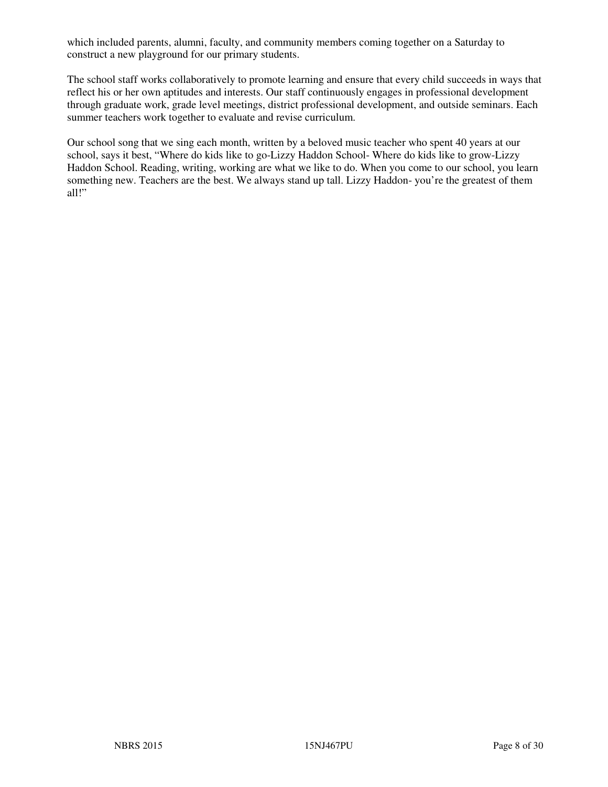which included parents, alumni, faculty, and community members coming together on a Saturday to construct a new playground for our primary students.

The school staff works collaboratively to promote learning and ensure that every child succeeds in ways that reflect his or her own aptitudes and interests. Our staff continuously engages in professional development through graduate work, grade level meetings, district professional development, and outside seminars. Each summer teachers work together to evaluate and revise curriculum.

Our school song that we sing each month, written by a beloved music teacher who spent 40 years at our school, says it best, "Where do kids like to go-Lizzy Haddon School- Where do kids like to grow-Lizzy Haddon School. Reading, writing, working are what we like to do. When you come to our school, you learn something new. Teachers are the best. We always stand up tall. Lizzy Haddon- you're the greatest of them all!"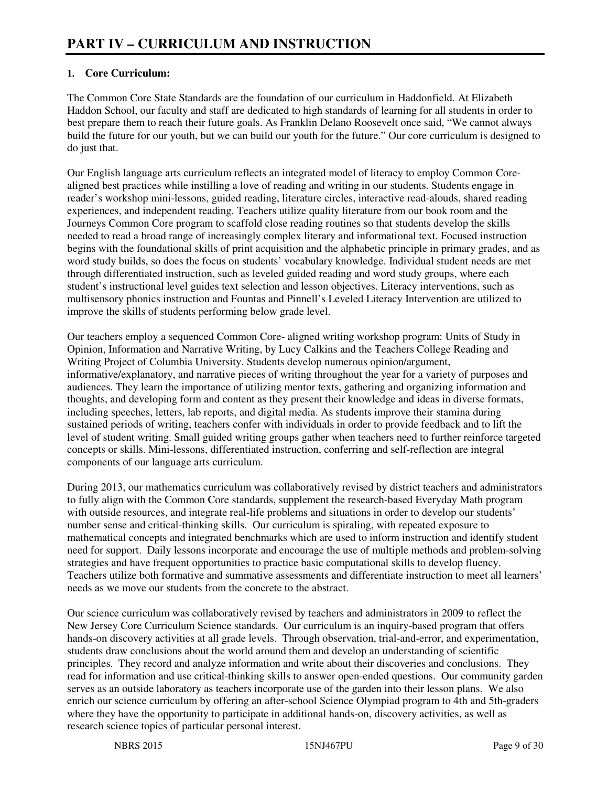## **1. Core Curriculum:**

The Common Core State Standards are the foundation of our curriculum in Haddonfield. At Elizabeth Haddon School, our faculty and staff are dedicated to high standards of learning for all students in order to best prepare them to reach their future goals. As Franklin Delano Roosevelt once said, "We cannot always build the future for our youth, but we can build our youth for the future." Our core curriculum is designed to do just that.

Our English language arts curriculum reflects an integrated model of literacy to employ Common Corealigned best practices while instilling a love of reading and writing in our students. Students engage in reader's workshop mini-lessons, guided reading, literature circles, interactive read-alouds, shared reading experiences, and independent reading. Teachers utilize quality literature from our book room and the Journeys Common Core program to scaffold close reading routines so that students develop the skills needed to read a broad range of increasingly complex literary and informational text. Focused instruction begins with the foundational skills of print acquisition and the alphabetic principle in primary grades, and as word study builds, so does the focus on students' vocabulary knowledge. Individual student needs are met through differentiated instruction, such as leveled guided reading and word study groups, where each student's instructional level guides text selection and lesson objectives. Literacy interventions, such as multisensory phonics instruction and Fountas and Pinnell's Leveled Literacy Intervention are utilized to improve the skills of students performing below grade level.

Our teachers employ a sequenced Common Core- aligned writing workshop program: Units of Study in Opinion, Information and Narrative Writing, by Lucy Calkins and the Teachers College Reading and Writing Project of Columbia University. Students develop numerous opinion/argument, informative/explanatory, and narrative pieces of writing throughout the year for a variety of purposes and audiences. They learn the importance of utilizing mentor texts, gathering and organizing information and thoughts, and developing form and content as they present their knowledge and ideas in diverse formats, including speeches, letters, lab reports, and digital media. As students improve their stamina during sustained periods of writing, teachers confer with individuals in order to provide feedback and to lift the level of student writing. Small guided writing groups gather when teachers need to further reinforce targeted concepts or skills. Mini-lessons, differentiated instruction, conferring and self-reflection are integral components of our language arts curriculum.

During 2013, our mathematics curriculum was collaboratively revised by district teachers and administrators to fully align with the Common Core standards, supplement the research-based Everyday Math program with outside resources, and integrate real-life problems and situations in order to develop our students' number sense and critical-thinking skills. Our curriculum is spiraling, with repeated exposure to mathematical concepts and integrated benchmarks which are used to inform instruction and identify student need for support. Daily lessons incorporate and encourage the use of multiple methods and problem-solving strategies and have frequent opportunities to practice basic computational skills to develop fluency. Teachers utilize both formative and summative assessments and differentiate instruction to meet all learners' needs as we move our students from the concrete to the abstract.

Our science curriculum was collaboratively revised by teachers and administrators in 2009 to reflect the New Jersey Core Curriculum Science standards. Our curriculum is an inquiry-based program that offers hands-on discovery activities at all grade levels. Through observation, trial-and-error, and experimentation, students draw conclusions about the world around them and develop an understanding of scientific principles. They record and analyze information and write about their discoveries and conclusions. They read for information and use critical-thinking skills to answer open-ended questions. Our community garden serves as an outside laboratory as teachers incorporate use of the garden into their lesson plans. We also enrich our science curriculum by offering an after-school Science Olympiad program to 4th and 5th-graders where they have the opportunity to participate in additional hands-on, discovery activities, as well as research science topics of particular personal interest.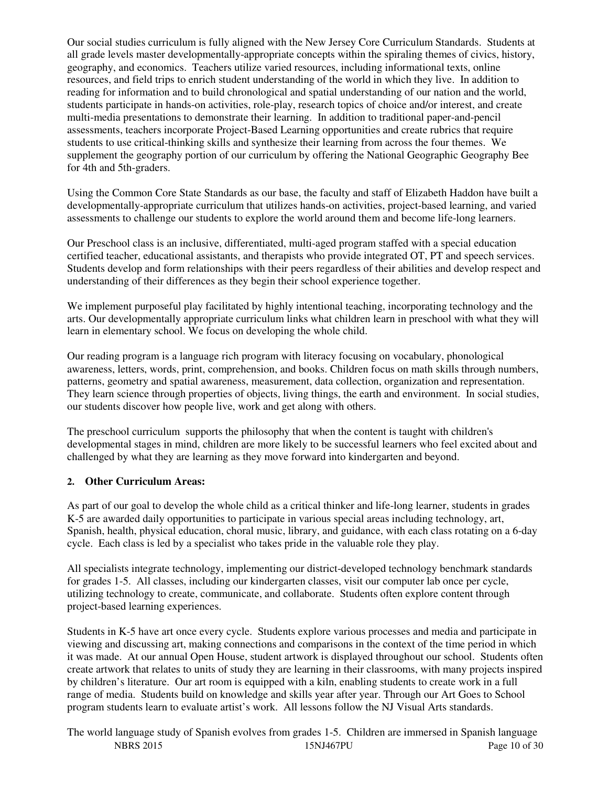Our social studies curriculum is fully aligned with the New Jersey Core Curriculum Standards. Students at all grade levels master developmentally-appropriate concepts within the spiraling themes of civics, history, geography, and economics. Teachers utilize varied resources, including informational texts, online resources, and field trips to enrich student understanding of the world in which they live. In addition to reading for information and to build chronological and spatial understanding of our nation and the world, students participate in hands-on activities, role-play, research topics of choice and/or interest, and create multi-media presentations to demonstrate their learning. In addition to traditional paper-and-pencil assessments, teachers incorporate Project-Based Learning opportunities and create rubrics that require students to use critical-thinking skills and synthesize their learning from across the four themes. We supplement the geography portion of our curriculum by offering the National Geographic Geography Bee for 4th and 5th-graders.

Using the Common Core State Standards as our base, the faculty and staff of Elizabeth Haddon have built a developmentally-appropriate curriculum that utilizes hands-on activities, project-based learning, and varied assessments to challenge our students to explore the world around them and become life-long learners.

Our Preschool class is an inclusive, differentiated, multi-aged program staffed with a special education certified teacher, educational assistants, and therapists who provide integrated OT, PT and speech services. Students develop and form relationships with their peers regardless of their abilities and develop respect and understanding of their differences as they begin their school experience together.

We implement purposeful play facilitated by highly intentional teaching, incorporating technology and the arts. Our developmentally appropriate curriculum links what children learn in preschool with what they will learn in elementary school. We focus on developing the whole child.

Our reading program is a language rich program with literacy focusing on vocabulary, phonological awareness, letters, words, print, comprehension, and books. Children focus on math skills through numbers, patterns, geometry and spatial awareness, measurement, data collection, organization and representation. They learn science through properties of objects, living things, the earth and environment. In social studies, our students discover how people live, work and get along with others.

The preschool curriculum supports the philosophy that when the content is taught with children's developmental stages in mind, children are more likely to be successful learners who feel excited about and challenged by what they are learning as they move forward into kindergarten and beyond.

## **2. Other Curriculum Areas:**

As part of our goal to develop the whole child as a critical thinker and life-long learner, students in grades K-5 are awarded daily opportunities to participate in various special areas including technology, art, Spanish, health, physical education, choral music, library, and guidance, with each class rotating on a 6-day cycle. Each class is led by a specialist who takes pride in the valuable role they play.

All specialists integrate technology, implementing our district-developed technology benchmark standards for grades 1-5. All classes, including our kindergarten classes, visit our computer lab once per cycle, utilizing technology to create, communicate, and collaborate. Students often explore content through project-based learning experiences.

Students in K-5 have art once every cycle. Students explore various processes and media and participate in viewing and discussing art, making connections and comparisons in the context of the time period in which it was made. At our annual Open House, student artwork is displayed throughout our school. Students often create artwork that relates to units of study they are learning in their classrooms, with many projects inspired by children's literature. Our art room is equipped with a kiln, enabling students to create work in a full range of media. Students build on knowledge and skills year after year. Through our Art Goes to School program students learn to evaluate artist's work. All lessons follow the NJ Visual Arts standards.

NBRS 2015 15NJ467PU Page 10 of 30 The world language study of Spanish evolves from grades 1-5. Children are immersed in Spanish language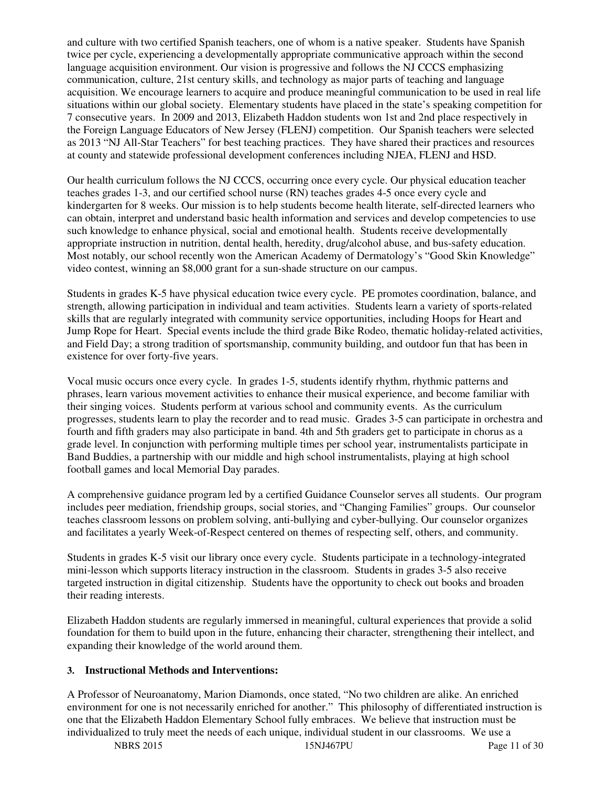and culture with two certified Spanish teachers, one of whom is a native speaker. Students have Spanish twice per cycle, experiencing a developmentally appropriate communicative approach within the second language acquisition environment. Our vision is progressive and follows the NJ CCCS emphasizing communication, culture, 21st century skills, and technology as major parts of teaching and language acquisition. We encourage learners to acquire and produce meaningful communication to be used in real life situations within our global society. Elementary students have placed in the state's speaking competition for 7 consecutive years. In 2009 and 2013, Elizabeth Haddon students won 1st and 2nd place respectively in the Foreign Language Educators of New Jersey (FLENJ) competition. Our Spanish teachers were selected as 2013 "NJ All-Star Teachers" for best teaching practices. They have shared their practices and resources at county and statewide professional development conferences including NJEA, FLENJ and HSD.

Our health curriculum follows the NJ CCCS, occurring once every cycle. Our physical education teacher teaches grades 1-3, and our certified school nurse (RN) teaches grades 4-5 once every cycle and kindergarten for 8 weeks. Our mission is to help students become health literate, self-directed learners who can obtain, interpret and understand basic health information and services and develop competencies to use such knowledge to enhance physical, social and emotional health. Students receive developmentally appropriate instruction in nutrition, dental health, heredity, drug/alcohol abuse, and bus-safety education. Most notably, our school recently won the American Academy of Dermatology's "Good Skin Knowledge" video contest, winning an \$8,000 grant for a sun-shade structure on our campus.

Students in grades K-5 have physical education twice every cycle. PE promotes coordination, balance, and strength, allowing participation in individual and team activities. Students learn a variety of sports-related skills that are regularly integrated with community service opportunities, including Hoops for Heart and Jump Rope for Heart. Special events include the third grade Bike Rodeo, thematic holiday-related activities, and Field Day; a strong tradition of sportsmanship, community building, and outdoor fun that has been in existence for over forty-five years.

Vocal music occurs once every cycle. In grades 1-5, students identify rhythm, rhythmic patterns and phrases, learn various movement activities to enhance their musical experience, and become familiar with their singing voices. Students perform at various school and community events. As the curriculum progresses, students learn to play the recorder and to read music. Grades 3-5 can participate in orchestra and fourth and fifth graders may also participate in band. 4th and 5th graders get to participate in chorus as a grade level. In conjunction with performing multiple times per school year, instrumentalists participate in Band Buddies, a partnership with our middle and high school instrumentalists, playing at high school football games and local Memorial Day parades.

A comprehensive guidance program led by a certified Guidance Counselor serves all students. Our program includes peer mediation, friendship groups, social stories, and "Changing Families" groups. Our counselor teaches classroom lessons on problem solving, anti-bullying and cyber-bullying. Our counselor organizes and facilitates a yearly Week-of-Respect centered on themes of respecting self, others, and community.

Students in grades K-5 visit our library once every cycle. Students participate in a technology-integrated mini-lesson which supports literacy instruction in the classroom. Students in grades 3-5 also receive targeted instruction in digital citizenship. Students have the opportunity to check out books and broaden their reading interests.

Elizabeth Haddon students are regularly immersed in meaningful, cultural experiences that provide a solid foundation for them to build upon in the future, enhancing their character, strengthening their intellect, and expanding their knowledge of the world around them.

#### **3. Instructional Methods and Interventions:**

A Professor of Neuroanatomy, Marion Diamonds, once stated, "No two children are alike. An enriched environment for one is not necessarily enriched for another." This philosophy of differentiated instruction is one that the Elizabeth Haddon Elementary School fully embraces. We believe that instruction must be individualized to truly meet the needs of each unique, individual student in our classrooms. We use a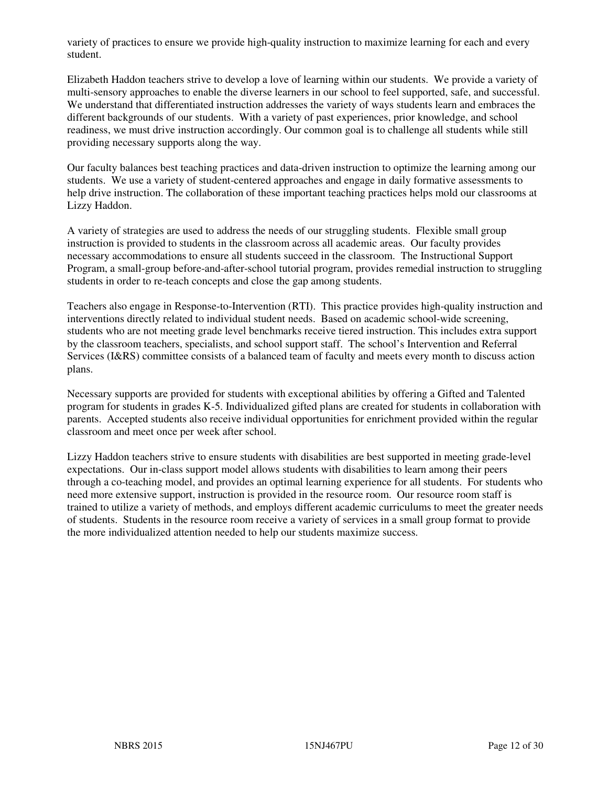variety of practices to ensure we provide high-quality instruction to maximize learning for each and every student.

Elizabeth Haddon teachers strive to develop a love of learning within our students. We provide a variety of multi-sensory approaches to enable the diverse learners in our school to feel supported, safe, and successful. We understand that differentiated instruction addresses the variety of ways students learn and embraces the different backgrounds of our students. With a variety of past experiences, prior knowledge, and school readiness, we must drive instruction accordingly. Our common goal is to challenge all students while still providing necessary supports along the way.

Our faculty balances best teaching practices and data-driven instruction to optimize the learning among our students. We use a variety of student-centered approaches and engage in daily formative assessments to help drive instruction. The collaboration of these important teaching practices helps mold our classrooms at Lizzy Haddon.

A variety of strategies are used to address the needs of our struggling students. Flexible small group instruction is provided to students in the classroom across all academic areas. Our faculty provides necessary accommodations to ensure all students succeed in the classroom. The Instructional Support Program, a small-group before-and-after-school tutorial program, provides remedial instruction to struggling students in order to re-teach concepts and close the gap among students.

Teachers also engage in Response-to-Intervention (RTI). This practice provides high-quality instruction and interventions directly related to individual student needs. Based on academic school-wide screening, students who are not meeting grade level benchmarks receive tiered instruction. This includes extra support by the classroom teachers, specialists, and school support staff. The school's Intervention and Referral Services (I&RS) committee consists of a balanced team of faculty and meets every month to discuss action plans.

Necessary supports are provided for students with exceptional abilities by offering a Gifted and Talented program for students in grades K-5. Individualized gifted plans are created for students in collaboration with parents. Accepted students also receive individual opportunities for enrichment provided within the regular classroom and meet once per week after school.

Lizzy Haddon teachers strive to ensure students with disabilities are best supported in meeting grade-level expectations. Our in-class support model allows students with disabilities to learn among their peers through a co-teaching model, and provides an optimal learning experience for all students. For students who need more extensive support, instruction is provided in the resource room. Our resource room staff is trained to utilize a variety of methods, and employs different academic curriculums to meet the greater needs of students. Students in the resource room receive a variety of services in a small group format to provide the more individualized attention needed to help our students maximize success.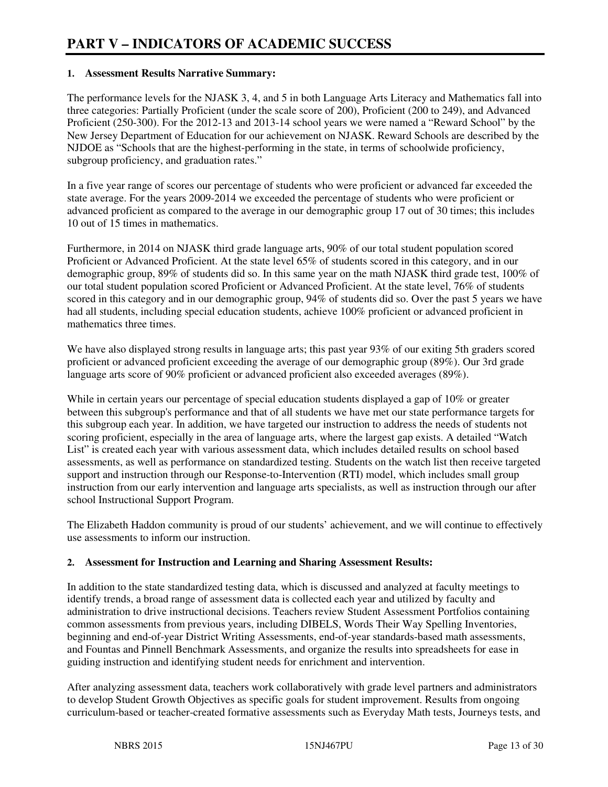#### **1. Assessment Results Narrative Summary:**

The performance levels for the NJASK 3, 4, and 5 in both Language Arts Literacy and Mathematics fall into three categories: Partially Proficient (under the scale score of 200), Proficient (200 to 249), and Advanced Proficient (250-300). For the 2012-13 and 2013-14 school years we were named a "Reward School" by the New Jersey Department of Education for our achievement on NJASK. Reward Schools are described by the NJDOE as "Schools that are the highest-performing in the state, in terms of schoolwide proficiency, subgroup proficiency, and graduation rates."

In a five year range of scores our percentage of students who were proficient or advanced far exceeded the state average. For the years 2009-2014 we exceeded the percentage of students who were proficient or advanced proficient as compared to the average in our demographic group 17 out of 30 times; this includes 10 out of 15 times in mathematics.

Furthermore, in 2014 on NJASK third grade language arts, 90% of our total student population scored Proficient or Advanced Proficient. At the state level 65% of students scored in this category, and in our demographic group, 89% of students did so. In this same year on the math NJASK third grade test, 100% of our total student population scored Proficient or Advanced Proficient. At the state level, 76% of students scored in this category and in our demographic group, 94% of students did so. Over the past 5 years we have had all students, including special education students, achieve 100% proficient or advanced proficient in mathematics three times.

We have also displayed strong results in language arts; this past year 93% of our exiting 5th graders scored proficient or advanced proficient exceeding the average of our demographic group (89%). Our 3rd grade language arts score of 90% proficient or advanced proficient also exceeded averages (89%).

While in certain years our percentage of special education students displayed a gap of 10% or greater between this subgroup's performance and that of all students we have met our state performance targets for this subgroup each year. In addition, we have targeted our instruction to address the needs of students not scoring proficient, especially in the area of language arts, where the largest gap exists. A detailed "Watch List" is created each year with various assessment data, which includes detailed results on school based assessments, as well as performance on standardized testing. Students on the watch list then receive targeted support and instruction through our Response-to-Intervention (RTI) model, which includes small group instruction from our early intervention and language arts specialists, as well as instruction through our after school Instructional Support Program.

The Elizabeth Haddon community is proud of our students' achievement, and we will continue to effectively use assessments to inform our instruction.

#### **2. Assessment for Instruction and Learning and Sharing Assessment Results:**

In addition to the state standardized testing data, which is discussed and analyzed at faculty meetings to identify trends, a broad range of assessment data is collected each year and utilized by faculty and administration to drive instructional decisions. Teachers review Student Assessment Portfolios containing common assessments from previous years, including DIBELS, Words Their Way Spelling Inventories, beginning and end-of-year District Writing Assessments, end-of-year standards-based math assessments, and Fountas and Pinnell Benchmark Assessments, and organize the results into spreadsheets for ease in guiding instruction and identifying student needs for enrichment and intervention.

After analyzing assessment data, teachers work collaboratively with grade level partners and administrators to develop Student Growth Objectives as specific goals for student improvement. Results from ongoing curriculum-based or teacher-created formative assessments such as Everyday Math tests, Journeys tests, and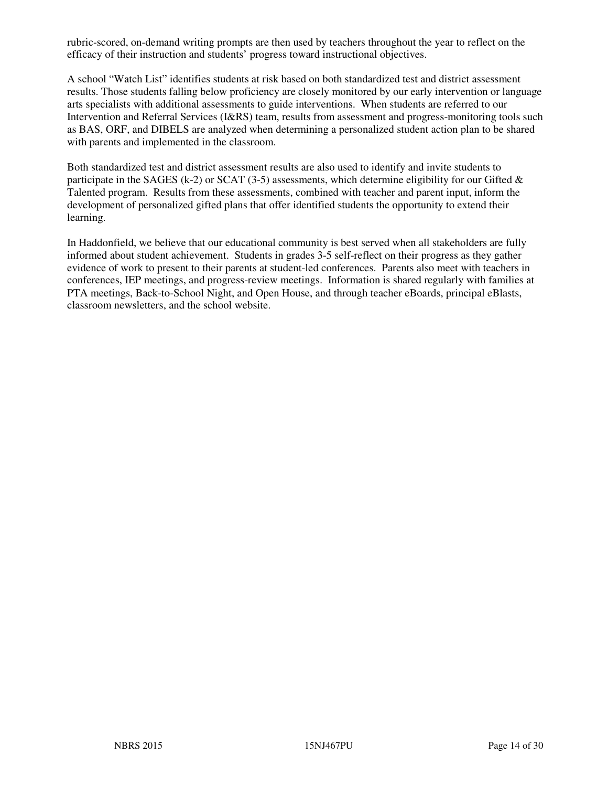rubric-scored, on-demand writing prompts are then used by teachers throughout the year to reflect on the efficacy of their instruction and students' progress toward instructional objectives.

A school "Watch List" identifies students at risk based on both standardized test and district assessment results. Those students falling below proficiency are closely monitored by our early intervention or language arts specialists with additional assessments to guide interventions. When students are referred to our Intervention and Referral Services (I&RS) team, results from assessment and progress-monitoring tools such as BAS, ORF, and DIBELS are analyzed when determining a personalized student action plan to be shared with parents and implemented in the classroom.

Both standardized test and district assessment results are also used to identify and invite students to participate in the SAGES (k-2) or SCAT (3-5) assessments, which determine eligibility for our Gifted  $\&$ Talented program. Results from these assessments, combined with teacher and parent input, inform the development of personalized gifted plans that offer identified students the opportunity to extend their learning.

In Haddonfield, we believe that our educational community is best served when all stakeholders are fully informed about student achievement. Students in grades 3-5 self-reflect on their progress as they gather evidence of work to present to their parents at student-led conferences. Parents also meet with teachers in conferences, IEP meetings, and progress-review meetings. Information is shared regularly with families at PTA meetings, Back-to-School Night, and Open House, and through teacher eBoards, principal eBlasts, classroom newsletters, and the school website.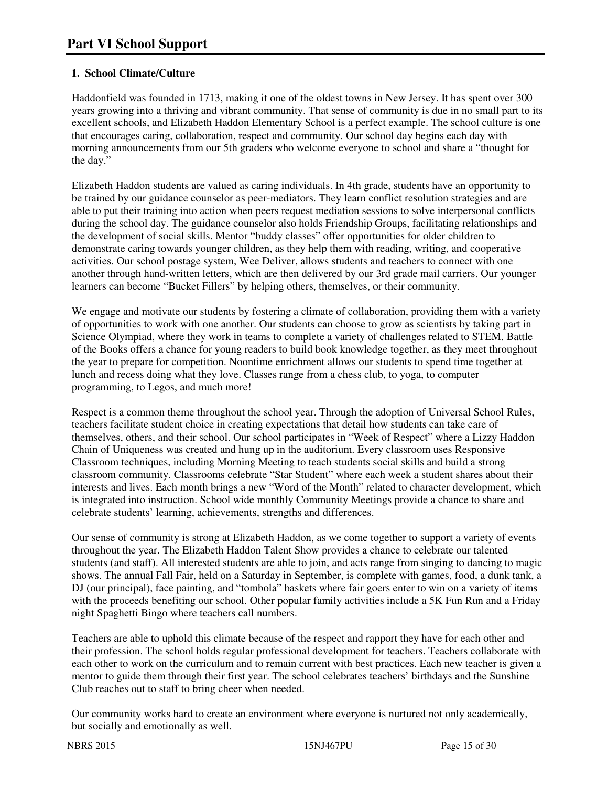# **1. School Climate/Culture**

Haddonfield was founded in 1713, making it one of the oldest towns in New Jersey. It has spent over 300 years growing into a thriving and vibrant community. That sense of community is due in no small part to its excellent schools, and Elizabeth Haddon Elementary School is a perfect example. The school culture is one that encourages caring, collaboration, respect and community. Our school day begins each day with morning announcements from our 5th graders who welcome everyone to school and share a "thought for the day."

Elizabeth Haddon students are valued as caring individuals. In 4th grade, students have an opportunity to be trained by our guidance counselor as peer-mediators. They learn conflict resolution strategies and are able to put their training into action when peers request mediation sessions to solve interpersonal conflicts during the school day. The guidance counselor also holds Friendship Groups, facilitating relationships and the development of social skills. Mentor "buddy classes" offer opportunities for older children to demonstrate caring towards younger children, as they help them with reading, writing, and cooperative activities. Our school postage system, Wee Deliver, allows students and teachers to connect with one another through hand-written letters, which are then delivered by our 3rd grade mail carriers. Our younger learners can become "Bucket Fillers" by helping others, themselves, or their community.

We engage and motivate our students by fostering a climate of collaboration, providing them with a variety of opportunities to work with one another. Our students can choose to grow as scientists by taking part in Science Olympiad, where they work in teams to complete a variety of challenges related to STEM. Battle of the Books offers a chance for young readers to build book knowledge together, as they meet throughout the year to prepare for competition. Noontime enrichment allows our students to spend time together at lunch and recess doing what they love. Classes range from a chess club, to yoga, to computer programming, to Legos, and much more!

Respect is a common theme throughout the school year. Through the adoption of Universal School Rules, teachers facilitate student choice in creating expectations that detail how students can take care of themselves, others, and their school. Our school participates in "Week of Respect" where a Lizzy Haddon Chain of Uniqueness was created and hung up in the auditorium. Every classroom uses Responsive Classroom techniques, including Morning Meeting to teach students social skills and build a strong classroom community. Classrooms celebrate "Star Student" where each week a student shares about their interests and lives. Each month brings a new "Word of the Month" related to character development, which is integrated into instruction. School wide monthly Community Meetings provide a chance to share and celebrate students' learning, achievements, strengths and differences.

Our sense of community is strong at Elizabeth Haddon, as we come together to support a variety of events throughout the year. The Elizabeth Haddon Talent Show provides a chance to celebrate our talented students (and staff). All interested students are able to join, and acts range from singing to dancing to magic shows. The annual Fall Fair, held on a Saturday in September, is complete with games, food, a dunk tank, a DJ (our principal), face painting, and "tombola" baskets where fair goers enter to win on a variety of items with the proceeds benefiting our school. Other popular family activities include a 5K Fun Run and a Friday night Spaghetti Bingo where teachers call numbers.

Teachers are able to uphold this climate because of the respect and rapport they have for each other and their profession. The school holds regular professional development for teachers. Teachers collaborate with each other to work on the curriculum and to remain current with best practices. Each new teacher is given a mentor to guide them through their first year. The school celebrates teachers' birthdays and the Sunshine Club reaches out to staff to bring cheer when needed.

Our community works hard to create an environment where everyone is nurtured not only academically, but socially and emotionally as well.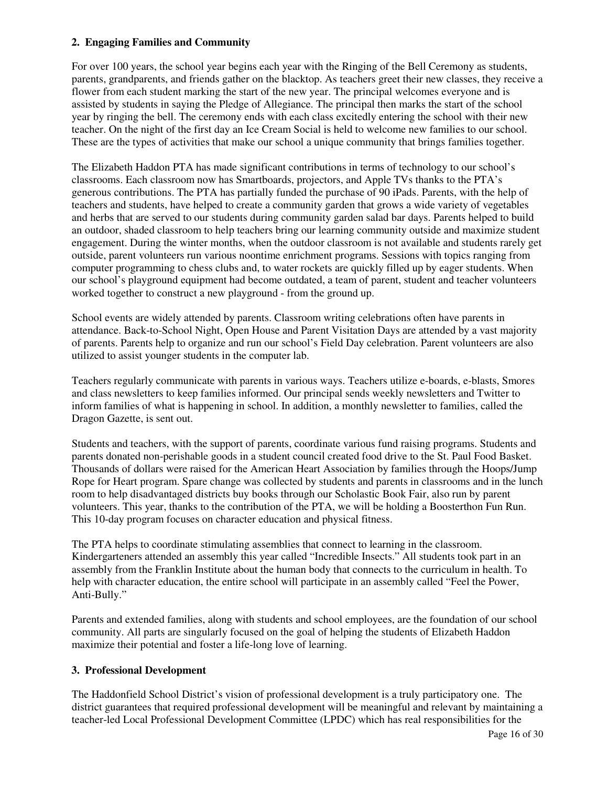#### **2. Engaging Families and Community**

For over 100 years, the school year begins each year with the Ringing of the Bell Ceremony as students, parents, grandparents, and friends gather on the blacktop. As teachers greet their new classes, they receive a flower from each student marking the start of the new year. The principal welcomes everyone and is assisted by students in saying the Pledge of Allegiance. The principal then marks the start of the school year by ringing the bell. The ceremony ends with each class excitedly entering the school with their new teacher. On the night of the first day an Ice Cream Social is held to welcome new families to our school. These are the types of activities that make our school a unique community that brings families together.

The Elizabeth Haddon PTA has made significant contributions in terms of technology to our school's classrooms. Each classroom now has Smartboards, projectors, and Apple TVs thanks to the PTA's generous contributions. The PTA has partially funded the purchase of 90 iPads. Parents, with the help of teachers and students, have helped to create a community garden that grows a wide variety of vegetables and herbs that are served to our students during community garden salad bar days. Parents helped to build an outdoor, shaded classroom to help teachers bring our learning community outside and maximize student engagement. During the winter months, when the outdoor classroom is not available and students rarely get outside, parent volunteers run various noontime enrichment programs. Sessions with topics ranging from computer programming to chess clubs and, to water rockets are quickly filled up by eager students. When our school's playground equipment had become outdated, a team of parent, student and teacher volunteers worked together to construct a new playground - from the ground up.

School events are widely attended by parents. Classroom writing celebrations often have parents in attendance. Back-to-School Night, Open House and Parent Visitation Days are attended by a vast majority of parents. Parents help to organize and run our school's Field Day celebration. Parent volunteers are also utilized to assist younger students in the computer lab.

Teachers regularly communicate with parents in various ways. Teachers utilize e-boards, e-blasts, Smores and class newsletters to keep families informed. Our principal sends weekly newsletters and Twitter to inform families of what is happening in school. In addition, a monthly newsletter to families, called the Dragon Gazette, is sent out.

Students and teachers, with the support of parents, coordinate various fund raising programs. Students and parents donated non-perishable goods in a student council created food drive to the St. Paul Food Basket. Thousands of dollars were raised for the American Heart Association by families through the Hoops/Jump Rope for Heart program. Spare change was collected by students and parents in classrooms and in the lunch room to help disadvantaged districts buy books through our Scholastic Book Fair, also run by parent volunteers. This year, thanks to the contribution of the PTA, we will be holding a Boosterthon Fun Run. This 10-day program focuses on character education and physical fitness.

The PTA helps to coordinate stimulating assemblies that connect to learning in the classroom. Kindergarteners attended an assembly this year called "Incredible Insects." All students took part in an assembly from the Franklin Institute about the human body that connects to the curriculum in health. To help with character education, the entire school will participate in an assembly called "Feel the Power, Anti-Bully."

Parents and extended families, along with students and school employees, are the foundation of our school community. All parts are singularly focused on the goal of helping the students of Elizabeth Haddon maximize their potential and foster a life-long love of learning.

#### **3. Professional Development**

The Haddonfield School District's vision of professional development is a truly participatory one. The district guarantees that required professional development will be meaningful and relevant by maintaining a teacher-led Local Professional Development Committee (LPDC) which has real responsibilities for the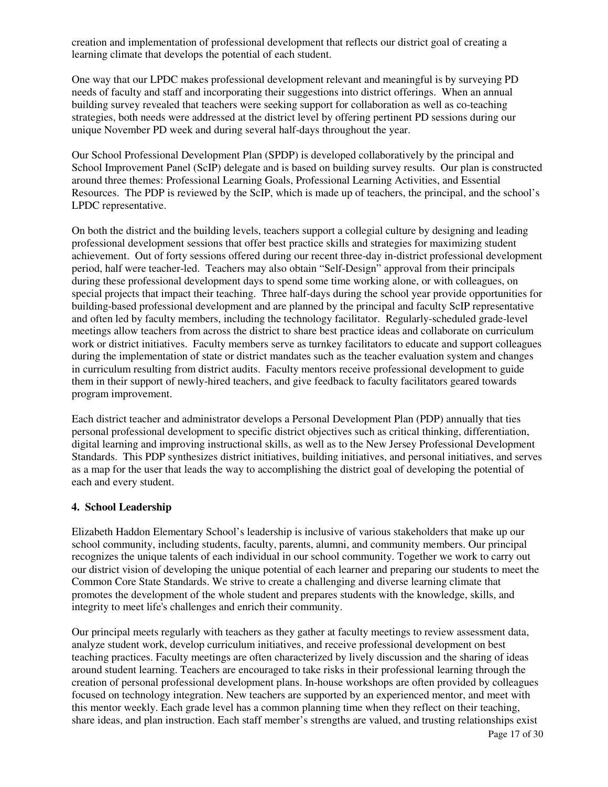creation and implementation of professional development that reflects our district goal of creating a learning climate that develops the potential of each student.

One way that our LPDC makes professional development relevant and meaningful is by surveying PD needs of faculty and staff and incorporating their suggestions into district offerings. When an annual building survey revealed that teachers were seeking support for collaboration as well as co-teaching strategies, both needs were addressed at the district level by offering pertinent PD sessions during our unique November PD week and during several half-days throughout the year.

Our School Professional Development Plan (SPDP) is developed collaboratively by the principal and School Improvement Panel (ScIP) delegate and is based on building survey results. Our plan is constructed around three themes: Professional Learning Goals, Professional Learning Activities, and Essential Resources. The PDP is reviewed by the ScIP, which is made up of teachers, the principal, and the school's LPDC representative.

On both the district and the building levels, teachers support a collegial culture by designing and leading professional development sessions that offer best practice skills and strategies for maximizing student achievement. Out of forty sessions offered during our recent three-day in-district professional development period, half were teacher-led. Teachers may also obtain "Self-Design" approval from their principals during these professional development days to spend some time working alone, or with colleagues, on special projects that impact their teaching. Three half-days during the school year provide opportunities for building-based professional development and are planned by the principal and faculty ScIP representative and often led by faculty members, including the technology facilitator. Regularly-scheduled grade-level meetings allow teachers from across the district to share best practice ideas and collaborate on curriculum work or district initiatives. Faculty members serve as turnkey facilitators to educate and support colleagues during the implementation of state or district mandates such as the teacher evaluation system and changes in curriculum resulting from district audits. Faculty mentors receive professional development to guide them in their support of newly-hired teachers, and give feedback to faculty facilitators geared towards program improvement.

Each district teacher and administrator develops a Personal Development Plan (PDP) annually that ties personal professional development to specific district objectives such as critical thinking, differentiation, digital learning and improving instructional skills, as well as to the New Jersey Professional Development Standards. This PDP synthesizes district initiatives, building initiatives, and personal initiatives, and serves as a map for the user that leads the way to accomplishing the district goal of developing the potential of each and every student.

#### **4. School Leadership**

Elizabeth Haddon Elementary School's leadership is inclusive of various stakeholders that make up our school community, including students, faculty, parents, alumni, and community members. Our principal recognizes the unique talents of each individual in our school community. Together we work to carry out our district vision of developing the unique potential of each learner and preparing our students to meet the Common Core State Standards. We strive to create a challenging and diverse learning climate that promotes the development of the whole student and prepares students with the knowledge, skills, and integrity to meet life's challenges and enrich their community.

Our principal meets regularly with teachers as they gather at faculty meetings to review assessment data, analyze student work, develop curriculum initiatives, and receive professional development on best teaching practices. Faculty meetings are often characterized by lively discussion and the sharing of ideas around student learning. Teachers are encouraged to take risks in their professional learning through the creation of personal professional development plans. In-house workshops are often provided by colleagues focused on technology integration. New teachers are supported by an experienced mentor, and meet with this mentor weekly. Each grade level has a common planning time when they reflect on their teaching, share ideas, and plan instruction. Each staff member's strengths are valued, and trusting relationships exist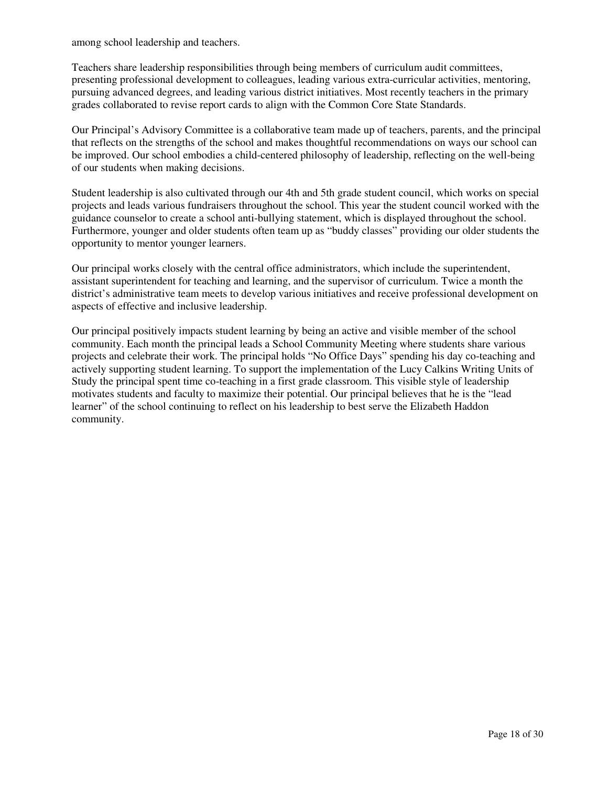among school leadership and teachers.

Teachers share leadership responsibilities through being members of curriculum audit committees, presenting professional development to colleagues, leading various extra-curricular activities, mentoring, pursuing advanced degrees, and leading various district initiatives. Most recently teachers in the primary grades collaborated to revise report cards to align with the Common Core State Standards.

Our Principal's Advisory Committee is a collaborative team made up of teachers, parents, and the principal that reflects on the strengths of the school and makes thoughtful recommendations on ways our school can be improved. Our school embodies a child-centered philosophy of leadership, reflecting on the well-being of our students when making decisions.

Student leadership is also cultivated through our 4th and 5th grade student council, which works on special projects and leads various fundraisers throughout the school. This year the student council worked with the guidance counselor to create a school anti-bullying statement, which is displayed throughout the school. Furthermore, younger and older students often team up as "buddy classes" providing our older students the opportunity to mentor younger learners.

Our principal works closely with the central office administrators, which include the superintendent, assistant superintendent for teaching and learning, and the supervisor of curriculum. Twice a month the district's administrative team meets to develop various initiatives and receive professional development on aspects of effective and inclusive leadership.

Our principal positively impacts student learning by being an active and visible member of the school community. Each month the principal leads a School Community Meeting where students share various projects and celebrate their work. The principal holds "No Office Days" spending his day co-teaching and actively supporting student learning. To support the implementation of the Lucy Calkins Writing Units of Study the principal spent time co-teaching in a first grade classroom. This visible style of leadership motivates students and faculty to maximize their potential. Our principal believes that he is the "lead learner" of the school continuing to reflect on his leadership to best serve the Elizabeth Haddon community.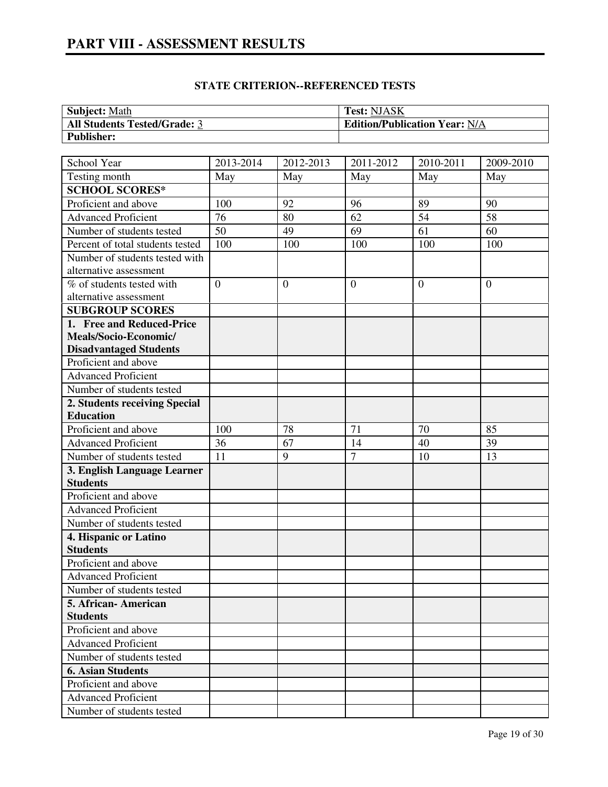# **PART VIII - ASSESSMENT RESULTS**

| <b>Subject: Math</b>                | <b>Test: NJASK</b>                   |
|-------------------------------------|--------------------------------------|
| <b>All Students Tested/Grade: 3</b> | <b>Edition/Publication Year: N/A</b> |
| <b>Publisher:</b>                   |                                      |

| School Year                      | 2013-2014      | 2012-2013    | $2011 - 2012$  | 2010-2011       | 2009-2010       |
|----------------------------------|----------------|--------------|----------------|-----------------|-----------------|
| Testing month                    | May            | May          | May            | May             | May             |
| <b>SCHOOL SCORES*</b>            |                |              |                |                 |                 |
| Proficient and above             | 100            | 92           | 96             | 89              | 90              |
| <b>Advanced Proficient</b>       | 76             | 80           | 62             | $\overline{54}$ | $\overline{58}$ |
| Number of students tested        | 50             | 49           | 69             | 61              | 60              |
| Percent of total students tested | 100            | 100          | 100            | 100             | 100             |
| Number of students tested with   |                |              |                |                 |                 |
| alternative assessment           |                |              |                |                 |                 |
| % of students tested with        | $\overline{0}$ | $\mathbf{0}$ | $\overline{0}$ | $\theta$        | $\overline{0}$  |
| alternative assessment           |                |              |                |                 |                 |
| <b>SUBGROUP SCORES</b>           |                |              |                |                 |                 |
| 1. Free and Reduced-Price        |                |              |                |                 |                 |
| Meals/Socio-Economic/            |                |              |                |                 |                 |
| <b>Disadvantaged Students</b>    |                |              |                |                 |                 |
| Proficient and above             |                |              |                |                 |                 |
| <b>Advanced Proficient</b>       |                |              |                |                 |                 |
| Number of students tested        |                |              |                |                 |                 |
| 2. Students receiving Special    |                |              |                |                 |                 |
| <b>Education</b>                 |                |              |                |                 |                 |
| Proficient and above             | 100            | 78           | 71             | 70              | 85              |
| <b>Advanced Proficient</b>       | 36             | 67           | 14             | 40              | 39              |
| Number of students tested        | 11             | 9            | $\overline{7}$ | 10              | 13              |
| 3. English Language Learner      |                |              |                |                 |                 |
| <b>Students</b>                  |                |              |                |                 |                 |
| Proficient and above             |                |              |                |                 |                 |
| <b>Advanced Proficient</b>       |                |              |                |                 |                 |
| Number of students tested        |                |              |                |                 |                 |
| 4. Hispanic or Latino            |                |              |                |                 |                 |
| <b>Students</b>                  |                |              |                |                 |                 |
| Proficient and above             |                |              |                |                 |                 |
| <b>Advanced Proficient</b>       |                |              |                |                 |                 |
| Number of students tested        |                |              |                |                 |                 |
| 5. African-American              |                |              |                |                 |                 |
| <b>Students</b>                  |                |              |                |                 |                 |
| Proficient and above             |                |              |                |                 |                 |
| <b>Advanced Proficient</b>       |                |              |                |                 |                 |
| Number of students tested        |                |              |                |                 |                 |
| <b>6. Asian Students</b>         |                |              |                |                 |                 |
| Proficient and above             |                |              |                |                 |                 |
| <b>Advanced Proficient</b>       |                |              |                |                 |                 |
| Number of students tested        |                |              |                |                 |                 |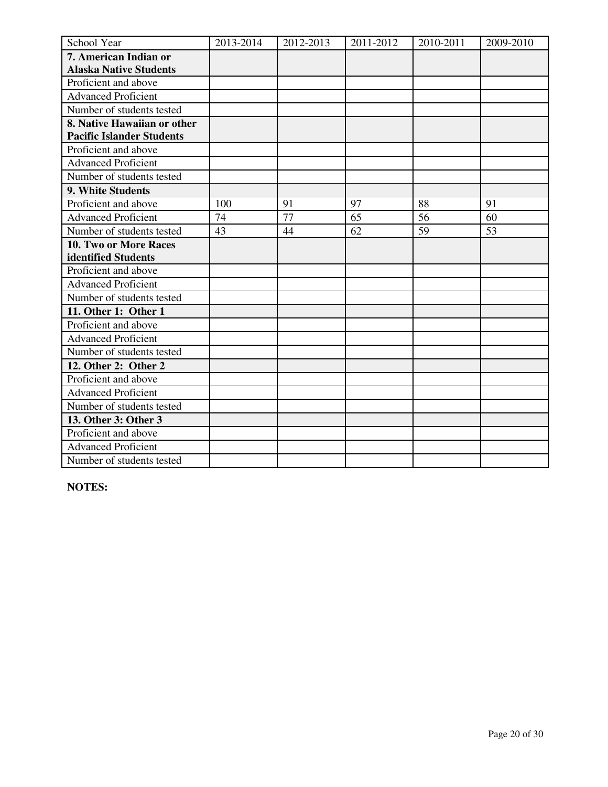| School Year                      | 2013-2014 | 2012-2013 | 2011-2012 | 2010-2011 | 2009-2010 |
|----------------------------------|-----------|-----------|-----------|-----------|-----------|
| 7. American Indian or            |           |           |           |           |           |
| <b>Alaska Native Students</b>    |           |           |           |           |           |
| Proficient and above             |           |           |           |           |           |
| <b>Advanced Proficient</b>       |           |           |           |           |           |
| Number of students tested        |           |           |           |           |           |
| 8. Native Hawaiian or other      |           |           |           |           |           |
| <b>Pacific Islander Students</b> |           |           |           |           |           |
| Proficient and above             |           |           |           |           |           |
| <b>Advanced Proficient</b>       |           |           |           |           |           |
| Number of students tested        |           |           |           |           |           |
| 9. White Students                |           |           |           |           |           |
| Proficient and above             | 100       | 91        | 97        | 88        | 91        |
| <b>Advanced Proficient</b>       | 74        | 77        | 65        | 56        | 60        |
| Number of students tested        | 43        | 44        | 62        | 59        | 53        |
| 10. Two or More Races            |           |           |           |           |           |
| identified Students              |           |           |           |           |           |
| Proficient and above             |           |           |           |           |           |
| <b>Advanced Proficient</b>       |           |           |           |           |           |
| Number of students tested        |           |           |           |           |           |
| 11. Other 1: Other 1             |           |           |           |           |           |
| Proficient and above             |           |           |           |           |           |
| <b>Advanced Proficient</b>       |           |           |           |           |           |
| Number of students tested        |           |           |           |           |           |
| 12. Other 2: Other 2             |           |           |           |           |           |
| Proficient and above             |           |           |           |           |           |
| <b>Advanced Proficient</b>       |           |           |           |           |           |
| Number of students tested        |           |           |           |           |           |
| 13. Other 3: Other 3             |           |           |           |           |           |
| Proficient and above             |           |           |           |           |           |
| <b>Advanced Proficient</b>       |           |           |           |           |           |
| Number of students tested        |           |           |           |           |           |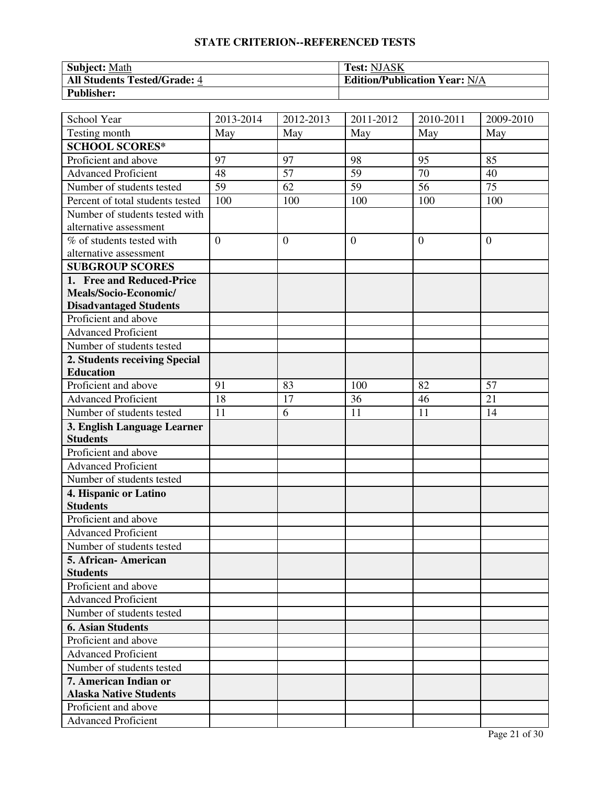| Subject: Math                       | <b>Test: NJASK</b>                   |
|-------------------------------------|--------------------------------------|
| <b>All Students Tested/Grade: 4</b> | <b>Edition/Publication Year: N/A</b> |
| <b>Publisher:</b>                   |                                      |

| School Year                                    | 2013-2014      | 2012-2013      | $\overline{20}11 - 2012$ | 2010-2011       | 2009-2010       |
|------------------------------------------------|----------------|----------------|--------------------------|-----------------|-----------------|
| Testing month                                  | May            | May            | May                      | May             | May             |
| <b>SCHOOL SCORES*</b>                          |                |                |                          |                 |                 |
| Proficient and above                           | 97             | 97             | 98                       | 95              | 85              |
| <b>Advanced Proficient</b>                     | 48             | 57             | 59                       | 70              | 40              |
| Number of students tested                      | 59             | 62             | $\overline{59}$          | $\overline{56}$ | $\overline{75}$ |
| Percent of total students tested               | 100            | 100            | 100                      | 100             | 100             |
| Number of students tested with                 |                |                |                          |                 |                 |
| alternative assessment                         |                |                |                          |                 |                 |
| % of students tested with                      | $\overline{0}$ | $\overline{0}$ | $\overline{0}$           | $\theta$        | $\overline{0}$  |
| alternative assessment                         |                |                |                          |                 |                 |
| <b>SUBGROUP SCORES</b>                         |                |                |                          |                 |                 |
| 1. Free and Reduced-Price                      |                |                |                          |                 |                 |
| Meals/Socio-Economic/                          |                |                |                          |                 |                 |
| <b>Disadvantaged Students</b>                  |                |                |                          |                 |                 |
| Proficient and above                           |                |                |                          |                 |                 |
| <b>Advanced Proficient</b>                     |                |                |                          |                 |                 |
| Number of students tested                      |                |                |                          |                 |                 |
| 2. Students receiving Special                  |                |                |                          |                 |                 |
| <b>Education</b>                               |                |                |                          |                 |                 |
| Proficient and above                           | 91             | 83             | 100                      | 82              | 57              |
| <b>Advanced Proficient</b>                     | 18             | 17             | 36                       | 46              | 21              |
| Number of students tested                      | 11             | 6              | 11                       | 11              | 14              |
| 3. English Language Learner<br><b>Students</b> |                |                |                          |                 |                 |
| Proficient and above                           |                |                |                          |                 |                 |
| <b>Advanced Proficient</b>                     |                |                |                          |                 |                 |
| Number of students tested                      |                |                |                          |                 |                 |
| 4. Hispanic or Latino                          |                |                |                          |                 |                 |
| <b>Students</b>                                |                |                |                          |                 |                 |
| Proficient and above                           |                |                |                          |                 |                 |
| <b>Advanced Proficient</b>                     |                |                |                          |                 |                 |
| Number of students tested                      |                |                |                          |                 |                 |
| 5. African - American                          |                |                |                          |                 |                 |
| <b>Students</b>                                |                |                |                          |                 |                 |
| Proficient and above                           |                |                |                          |                 |                 |
| <b>Advanced Proficient</b>                     |                |                |                          |                 |                 |
| Number of students tested                      |                |                |                          |                 |                 |
| <b>6. Asian Students</b>                       |                |                |                          |                 |                 |
| Proficient and above                           |                |                |                          |                 |                 |
| <b>Advanced Proficient</b>                     |                |                |                          |                 |                 |
| Number of students tested                      |                |                |                          |                 |                 |
| 7. American Indian or                          |                |                |                          |                 |                 |
| <b>Alaska Native Students</b>                  |                |                |                          |                 |                 |
| Proficient and above                           |                |                |                          |                 |                 |
| <b>Advanced Proficient</b>                     |                |                |                          |                 |                 |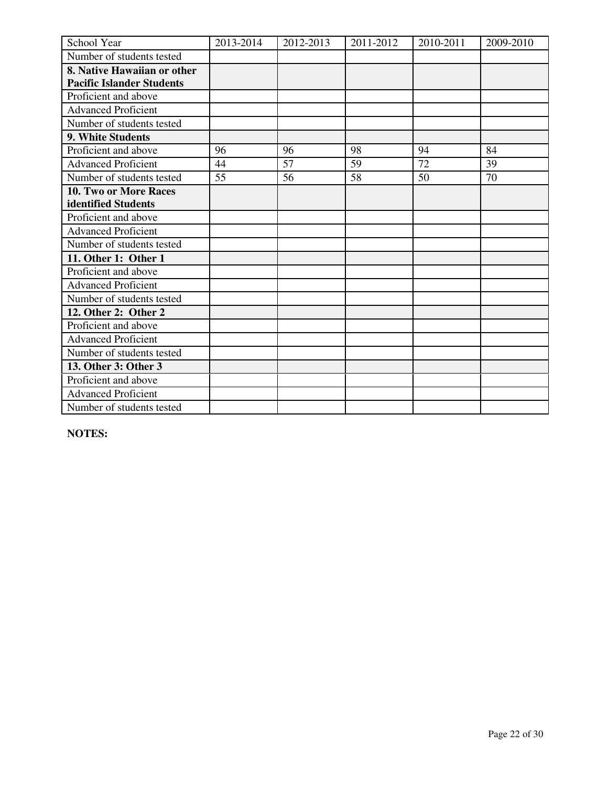| School Year                      | 2013-2014 | 2012-2013 | 2011-2012 | 2010-2011 | 2009-2010 |
|----------------------------------|-----------|-----------|-----------|-----------|-----------|
| Number of students tested        |           |           |           |           |           |
| 8. Native Hawaiian or other      |           |           |           |           |           |
| <b>Pacific Islander Students</b> |           |           |           |           |           |
| Proficient and above             |           |           |           |           |           |
| <b>Advanced Proficient</b>       |           |           |           |           |           |
| Number of students tested        |           |           |           |           |           |
| 9. White Students                |           |           |           |           |           |
| Proficient and above             | 96        | 96        | 98        | 94        | 84        |
| <b>Advanced Proficient</b>       | 44        | 57        | 59        | 72        | 39        |
| Number of students tested        | 55        | 56        | 58        | 50        | 70        |
| <b>10. Two or More Races</b>     |           |           |           |           |           |
| identified Students              |           |           |           |           |           |
| Proficient and above             |           |           |           |           |           |
| <b>Advanced Proficient</b>       |           |           |           |           |           |
| Number of students tested        |           |           |           |           |           |
| 11. Other 1: Other 1             |           |           |           |           |           |
| Proficient and above             |           |           |           |           |           |
| <b>Advanced Proficient</b>       |           |           |           |           |           |
| Number of students tested        |           |           |           |           |           |
| 12. Other 2: Other 2             |           |           |           |           |           |
| Proficient and above             |           |           |           |           |           |
| <b>Advanced Proficient</b>       |           |           |           |           |           |
| Number of students tested        |           |           |           |           |           |
| 13. Other 3: Other 3             |           |           |           |           |           |
| Proficient and above             |           |           |           |           |           |
| <b>Advanced Proficient</b>       |           |           |           |           |           |
| Number of students tested        |           |           |           |           |           |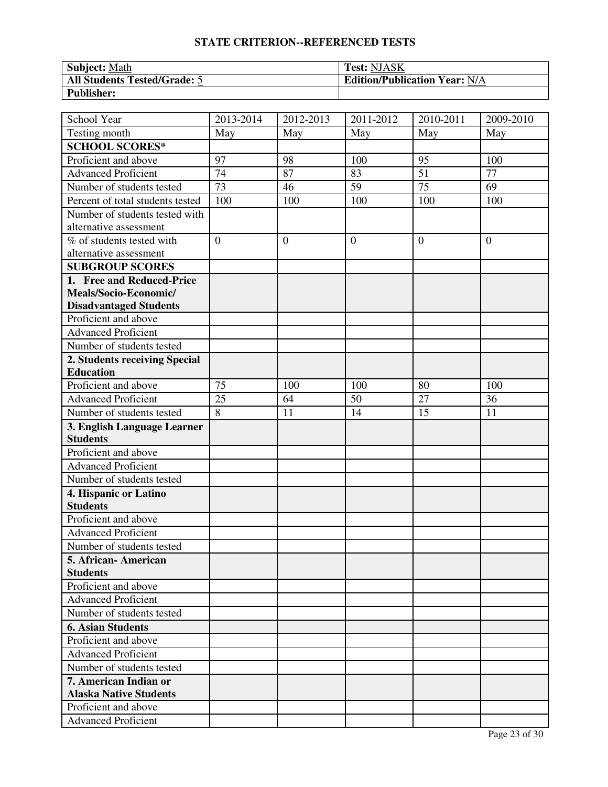| <b>Subject: Math</b>         | <b>Test: NJASK</b>                   |
|------------------------------|--------------------------------------|
| All Students Tested/Grade: 5 | <b>Edition/Publication Year: N/A</b> |
| <b>Publisher:</b>            |                                      |

| School Year                      | 2013-2014      | 2012-2013    | 2011-2012        | 2010-2011       | 2009-2010      |
|----------------------------------|----------------|--------------|------------------|-----------------|----------------|
| Testing month                    | May            | May          | May              | May             | May            |
| <b>SCHOOL SCORES*</b>            |                |              |                  |                 |                |
| Proficient and above             | 97             | 98           | 100              | 95              | 100            |
| <b>Advanced Proficient</b>       | 74             | 87           | 83               | 51              | 77             |
| Number of students tested        | 73             | 46           | 59               | $\overline{75}$ | 69             |
| Percent of total students tested | 100            | 100          | 100              | 100             | 100            |
| Number of students tested with   |                |              |                  |                 |                |
| alternative assessment           |                |              |                  |                 |                |
| % of students tested with        | $\overline{0}$ | $\mathbf{0}$ | $\boldsymbol{0}$ | $\overline{0}$  | $\overline{0}$ |
| alternative assessment           |                |              |                  |                 |                |
| <b>SUBGROUP SCORES</b>           |                |              |                  |                 |                |
| 1. Free and Reduced-Price        |                |              |                  |                 |                |
| Meals/Socio-Economic/            |                |              |                  |                 |                |
| <b>Disadvantaged Students</b>    |                |              |                  |                 |                |
| Proficient and above             |                |              |                  |                 |                |
| <b>Advanced Proficient</b>       |                |              |                  |                 |                |
| Number of students tested        |                |              |                  |                 |                |
| 2. Students receiving Special    |                |              |                  |                 |                |
| <b>Education</b>                 |                |              |                  |                 |                |
| Proficient and above             | 75             | 100          | 100              | 80              | 100            |
| <b>Advanced Proficient</b>       | 25             | 64           | 50               | 27              | 36             |
| Number of students tested        | 8              | 11           | 14               | 15              | 11             |
| 3. English Language Learner      |                |              |                  |                 |                |
| <b>Students</b>                  |                |              |                  |                 |                |
| Proficient and above             |                |              |                  |                 |                |
| <b>Advanced Proficient</b>       |                |              |                  |                 |                |
| Number of students tested        |                |              |                  |                 |                |
| 4. Hispanic or Latino            |                |              |                  |                 |                |
| <b>Students</b>                  |                |              |                  |                 |                |
| Proficient and above             |                |              |                  |                 |                |
| <b>Advanced Proficient</b>       |                |              |                  |                 |                |
| Number of students tested        |                |              |                  |                 |                |
| 5. African-American              |                |              |                  |                 |                |
| <b>Students</b>                  |                |              |                  |                 |                |
| Proficient and above             |                |              |                  |                 |                |
| <b>Advanced Proficient</b>       |                |              |                  |                 |                |
| Number of students tested        |                |              |                  |                 |                |
| <b>6. Asian Students</b>         |                |              |                  |                 |                |
| Proficient and above             |                |              |                  |                 |                |
| <b>Advanced Proficient</b>       |                |              |                  |                 |                |
| Number of students tested        |                |              |                  |                 |                |
| 7. American Indian or            |                |              |                  |                 |                |
| <b>Alaska Native Students</b>    |                |              |                  |                 |                |
| Proficient and above             |                |              |                  |                 |                |
| <b>Advanced Proficient</b>       |                |              |                  |                 |                |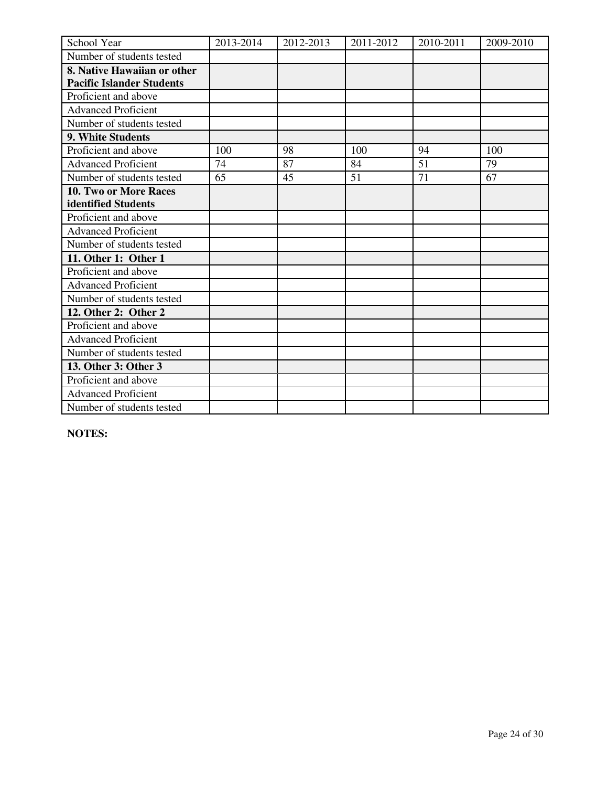| School Year                      | 2013-2014 | 2012-2013 | 2011-2012 | 2010-2011 | 2009-2010 |
|----------------------------------|-----------|-----------|-----------|-----------|-----------|
| Number of students tested        |           |           |           |           |           |
| 8. Native Hawaiian or other      |           |           |           |           |           |
| <b>Pacific Islander Students</b> |           |           |           |           |           |
| Proficient and above             |           |           |           |           |           |
| <b>Advanced Proficient</b>       |           |           |           |           |           |
| Number of students tested        |           |           |           |           |           |
| 9. White Students                |           |           |           |           |           |
| Proficient and above             | 100       | 98        | 100       | 94        | 100       |
| <b>Advanced Proficient</b>       | 74        | 87        | 84        | 51        | 79        |
| Number of students tested        | 65        | 45        | 51        | 71        | 67        |
| 10. Two or More Races            |           |           |           |           |           |
| identified Students              |           |           |           |           |           |
| Proficient and above             |           |           |           |           |           |
| <b>Advanced Proficient</b>       |           |           |           |           |           |
| Number of students tested        |           |           |           |           |           |
| 11. Other 1: Other 1             |           |           |           |           |           |
| Proficient and above             |           |           |           |           |           |
| <b>Advanced Proficient</b>       |           |           |           |           |           |
| Number of students tested        |           |           |           |           |           |
| 12. Other 2: Other 2             |           |           |           |           |           |
| Proficient and above             |           |           |           |           |           |
| <b>Advanced Proficient</b>       |           |           |           |           |           |
| Number of students tested        |           |           |           |           |           |
| 13. Other 3: Other 3             |           |           |           |           |           |
| Proficient and above             |           |           |           |           |           |
| <b>Advanced Proficient</b>       |           |           |           |           |           |
| Number of students tested        |           |           |           |           |           |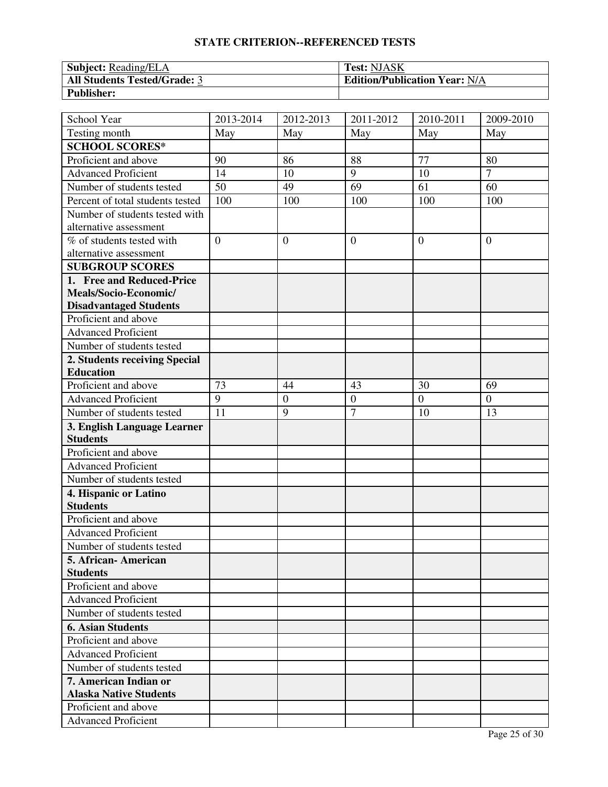| Subject: Reading/ELA                | <b>Test: NJASK</b>                   |
|-------------------------------------|--------------------------------------|
| <b>All Students Tested/Grade: 3</b> | <b>Edition/Publication Year: N/A</b> |
| <b>Publisher:</b>                   |                                      |

| School Year                                    | $\overline{20}$ 13-2014 | $\overline{20}$ 12-2013 | 2011-2012        | 2010-2011      | 2009-2010        |
|------------------------------------------------|-------------------------|-------------------------|------------------|----------------|------------------|
| Testing month                                  | May                     | May                     | May              | May            | May              |
| <b>SCHOOL SCORES*</b>                          |                         |                         |                  |                |                  |
| Proficient and above                           | 90                      | 86                      | 88               | 77             | 80               |
| <b>Advanced Proficient</b>                     | 14                      | 10                      | 9                | 10             | $\overline{7}$   |
| Number of students tested                      | 50                      | 49                      | 69               | 61             | 60               |
| Percent of total students tested               | 100                     | 100                     | 100              | 100            | 100              |
| Number of students tested with                 |                         |                         |                  |                |                  |
| alternative assessment                         |                         |                         |                  |                |                  |
| % of students tested with                      | $\theta$                | $\overline{0}$          | $\overline{0}$   | $\theta$       | $\overline{0}$   |
| alternative assessment                         |                         |                         |                  |                |                  |
| <b>SUBGROUP SCORES</b>                         |                         |                         |                  |                |                  |
| 1. Free and Reduced-Price                      |                         |                         |                  |                |                  |
| Meals/Socio-Economic/                          |                         |                         |                  |                |                  |
| <b>Disadvantaged Students</b>                  |                         |                         |                  |                |                  |
| Proficient and above                           |                         |                         |                  |                |                  |
| <b>Advanced Proficient</b>                     |                         |                         |                  |                |                  |
| Number of students tested                      |                         |                         |                  |                |                  |
| 2. Students receiving Special                  |                         |                         |                  |                |                  |
| <b>Education</b>                               |                         |                         |                  |                |                  |
| Proficient and above                           | 73                      | 44                      | 43               | 30             | 69               |
| <b>Advanced Proficient</b>                     | 9                       | $\mathbf{0}$            | $\boldsymbol{0}$ | $\overline{0}$ | $\boldsymbol{0}$ |
| Number of students tested                      | 11                      | 9                       | $\overline{7}$   | 10             | 13               |
| 3. English Language Learner<br><b>Students</b> |                         |                         |                  |                |                  |
| Proficient and above                           |                         |                         |                  |                |                  |
| <b>Advanced Proficient</b>                     |                         |                         |                  |                |                  |
| Number of students tested                      |                         |                         |                  |                |                  |
| 4. Hispanic or Latino                          |                         |                         |                  |                |                  |
| <b>Students</b>                                |                         |                         |                  |                |                  |
| Proficient and above                           |                         |                         |                  |                |                  |
| <b>Advanced Proficient</b>                     |                         |                         |                  |                |                  |
| Number of students tested                      |                         |                         |                  |                |                  |
| 5. African - American                          |                         |                         |                  |                |                  |
| <b>Students</b>                                |                         |                         |                  |                |                  |
| Proficient and above                           |                         |                         |                  |                |                  |
| <b>Advanced Proficient</b>                     |                         |                         |                  |                |                  |
| Number of students tested                      |                         |                         |                  |                |                  |
| <b>6. Asian Students</b>                       |                         |                         |                  |                |                  |
| Proficient and above                           |                         |                         |                  |                |                  |
| <b>Advanced Proficient</b>                     |                         |                         |                  |                |                  |
| Number of students tested                      |                         |                         |                  |                |                  |
| 7. American Indian or                          |                         |                         |                  |                |                  |
| <b>Alaska Native Students</b>                  |                         |                         |                  |                |                  |
| Proficient and above                           |                         |                         |                  |                |                  |
| <b>Advanced Proficient</b>                     |                         |                         |                  |                |                  |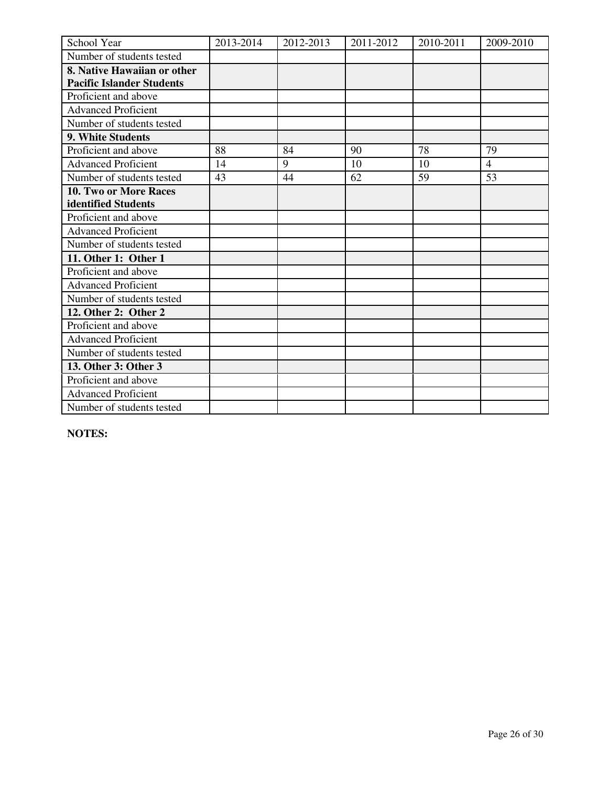| School Year                      | 2013-2014 | 2012-2013 | 2011-2012 | 2010-2011 | 2009-2010      |
|----------------------------------|-----------|-----------|-----------|-----------|----------------|
| Number of students tested        |           |           |           |           |                |
| 8. Native Hawaiian or other      |           |           |           |           |                |
| <b>Pacific Islander Students</b> |           |           |           |           |                |
| Proficient and above             |           |           |           |           |                |
| <b>Advanced Proficient</b>       |           |           |           |           |                |
| Number of students tested        |           |           |           |           |                |
| 9. White Students                |           |           |           |           |                |
| Proficient and above             | 88        | 84        | 90        | 78        | 79             |
| <b>Advanced Proficient</b>       | 14        | 9         | 10        | 10        | $\overline{4}$ |
| Number of students tested        | 43        | 44        | 62        | 59        | 53             |
| <b>10. Two or More Races</b>     |           |           |           |           |                |
| identified Students              |           |           |           |           |                |
| Proficient and above             |           |           |           |           |                |
| <b>Advanced Proficient</b>       |           |           |           |           |                |
| Number of students tested        |           |           |           |           |                |
| 11. Other 1: Other 1             |           |           |           |           |                |
| Proficient and above             |           |           |           |           |                |
| <b>Advanced Proficient</b>       |           |           |           |           |                |
| Number of students tested        |           |           |           |           |                |
| 12. Other 2: Other 2             |           |           |           |           |                |
| Proficient and above             |           |           |           |           |                |
| <b>Advanced Proficient</b>       |           |           |           |           |                |
| Number of students tested        |           |           |           |           |                |
| 13. Other 3: Other 3             |           |           |           |           |                |
| Proficient and above             |           |           |           |           |                |
| <b>Advanced Proficient</b>       |           |           |           |           |                |
| Number of students tested        |           |           |           |           |                |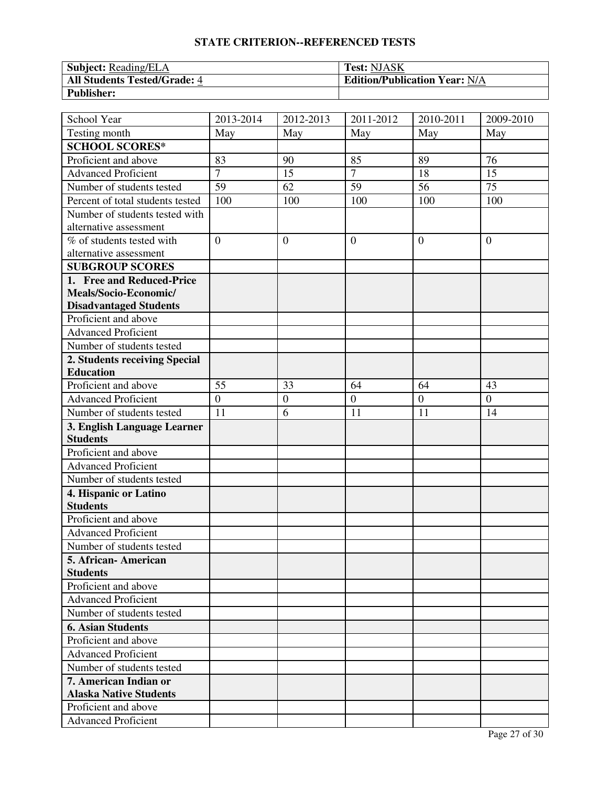| Subject: Reading/ELA                | <b>Test: NJASK</b>                   |
|-------------------------------------|--------------------------------------|
| <b>All Students Tested/Grade: 4</b> | <b>Edition/Publication Year: N/A</b> |
| <b>Publisher:</b>                   |                                      |

| School Year                                    | 2013-2014      | 2012-2013      | $\overline{20}11 - 2012$ | 2010-2011       | 2009-2010        |
|------------------------------------------------|----------------|----------------|--------------------------|-----------------|------------------|
| Testing month                                  | May            | May            | May                      | May             | May              |
| <b>SCHOOL SCORES*</b>                          |                |                |                          |                 |                  |
| Proficient and above                           | 83             | 90             | 85                       | 89              | 76               |
| <b>Advanced Proficient</b>                     | $\overline{7}$ | 15             | $\tau$                   | 18              | 15               |
| Number of students tested                      | 59             | 62             | 59                       | $\overline{56}$ | 75               |
| Percent of total students tested               | 100            | 100            | 100                      | 100             | 100              |
| Number of students tested with                 |                |                |                          |                 |                  |
| alternative assessment                         |                |                |                          |                 |                  |
| % of students tested with                      | $\overline{0}$ | $\overline{0}$ | $\overline{0}$           | $\theta$        | $\overline{0}$   |
| alternative assessment                         |                |                |                          |                 |                  |
| <b>SUBGROUP SCORES</b>                         |                |                |                          |                 |                  |
| 1. Free and Reduced-Price                      |                |                |                          |                 |                  |
| Meals/Socio-Economic/                          |                |                |                          |                 |                  |
| <b>Disadvantaged Students</b>                  |                |                |                          |                 |                  |
| Proficient and above                           |                |                |                          |                 |                  |
| <b>Advanced Proficient</b>                     |                |                |                          |                 |                  |
| Number of students tested                      |                |                |                          |                 |                  |
| 2. Students receiving Special                  |                |                |                          |                 |                  |
| <b>Education</b>                               |                |                |                          |                 |                  |
| Proficient and above                           | 55             | 33             | 64                       | 64              | 43               |
| <b>Advanced Proficient</b>                     | $\overline{0}$ | $\mathbf{0}$   | $\boldsymbol{0}$         | $\overline{0}$  | $\boldsymbol{0}$ |
| Number of students tested                      | 11             | 6              | 11                       | 11              | 14               |
| 3. English Language Learner<br><b>Students</b> |                |                |                          |                 |                  |
| Proficient and above                           |                |                |                          |                 |                  |
| <b>Advanced Proficient</b>                     |                |                |                          |                 |                  |
| Number of students tested                      |                |                |                          |                 |                  |
| 4. Hispanic or Latino                          |                |                |                          |                 |                  |
| <b>Students</b>                                |                |                |                          |                 |                  |
| Proficient and above                           |                |                |                          |                 |                  |
| <b>Advanced Proficient</b>                     |                |                |                          |                 |                  |
| Number of students tested                      |                |                |                          |                 |                  |
| 5. African - American                          |                |                |                          |                 |                  |
| <b>Students</b>                                |                |                |                          |                 |                  |
| Proficient and above                           |                |                |                          |                 |                  |
| <b>Advanced Proficient</b>                     |                |                |                          |                 |                  |
| Number of students tested                      |                |                |                          |                 |                  |
| <b>6. Asian Students</b>                       |                |                |                          |                 |                  |
| Proficient and above                           |                |                |                          |                 |                  |
| <b>Advanced Proficient</b>                     |                |                |                          |                 |                  |
| Number of students tested                      |                |                |                          |                 |                  |
| 7. American Indian or                          |                |                |                          |                 |                  |
| <b>Alaska Native Students</b>                  |                |                |                          |                 |                  |
| Proficient and above                           |                |                |                          |                 |                  |
| <b>Advanced Proficient</b>                     |                |                |                          |                 |                  |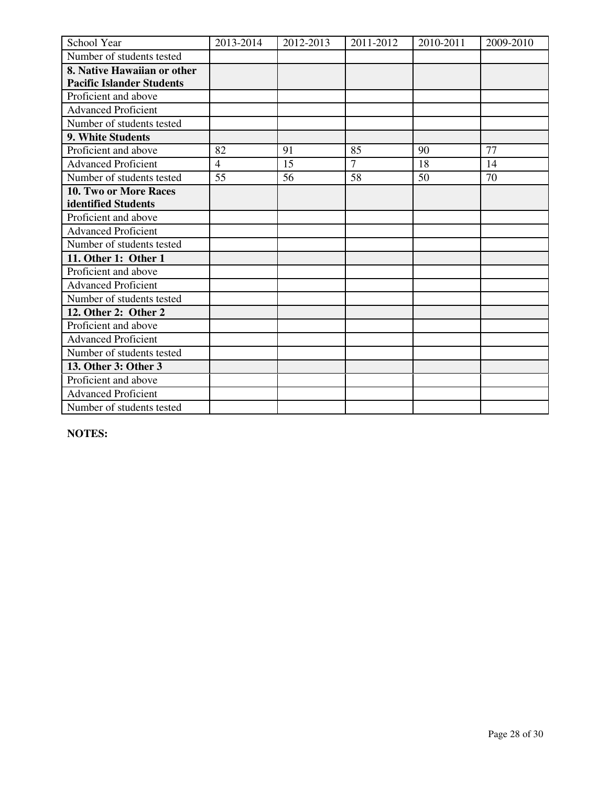| School Year                      | 2013-2014      | 2012-2013 | 2011-2012      | 2010-2011 | 2009-2010 |
|----------------------------------|----------------|-----------|----------------|-----------|-----------|
| Number of students tested        |                |           |                |           |           |
| 8. Native Hawaiian or other      |                |           |                |           |           |
| <b>Pacific Islander Students</b> |                |           |                |           |           |
| Proficient and above             |                |           |                |           |           |
| <b>Advanced Proficient</b>       |                |           |                |           |           |
| Number of students tested        |                |           |                |           |           |
| 9. White Students                |                |           |                |           |           |
| Proficient and above             | 82             | 91        | 85             | 90        | 77        |
| <b>Advanced Proficient</b>       | $\overline{4}$ | 15        | $\overline{7}$ | 18        | 14        |
| Number of students tested        | 55             | 56        | 58             | 50        | 70        |
| <b>10. Two or More Races</b>     |                |           |                |           |           |
| identified Students              |                |           |                |           |           |
| Proficient and above             |                |           |                |           |           |
| <b>Advanced Proficient</b>       |                |           |                |           |           |
| Number of students tested        |                |           |                |           |           |
| 11. Other 1: Other 1             |                |           |                |           |           |
| Proficient and above             |                |           |                |           |           |
| <b>Advanced Proficient</b>       |                |           |                |           |           |
| Number of students tested        |                |           |                |           |           |
| 12. Other 2: Other 2             |                |           |                |           |           |
| Proficient and above             |                |           |                |           |           |
| <b>Advanced Proficient</b>       |                |           |                |           |           |
| Number of students tested        |                |           |                |           |           |
| 13. Other 3: Other 3             |                |           |                |           |           |
| Proficient and above             |                |           |                |           |           |
| <b>Advanced Proficient</b>       |                |           |                |           |           |
| Number of students tested        |                |           |                |           |           |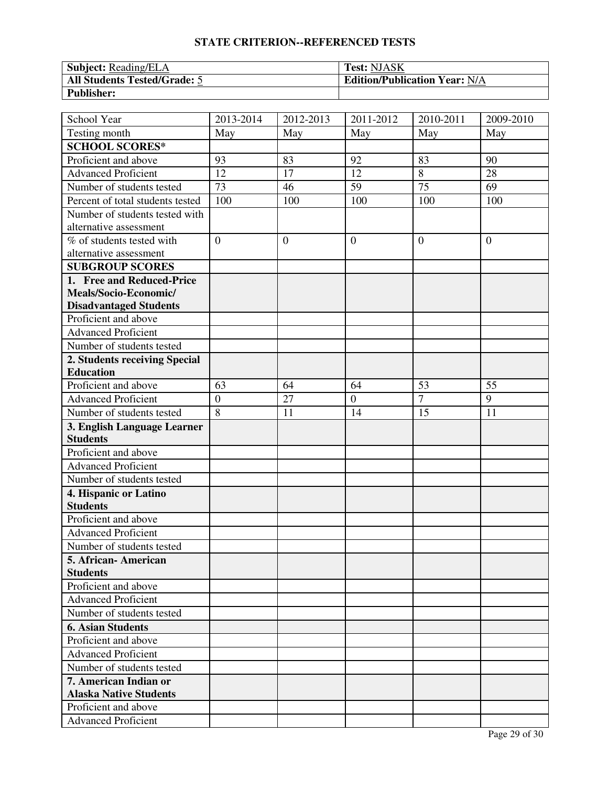| Subject: Reading/ELA                | <b>Test: NJASK</b>                   |
|-------------------------------------|--------------------------------------|
| <b>All Students Tested/Grade: 5</b> | <b>Edition/Publication Year: N/A</b> |
| <b>Publisher:</b>                   |                                      |

| School Year                                    | 2013-2014       | 2012-2013      | $\overline{20}11 - 2012$ | 2010-2011       | 2009-2010      |
|------------------------------------------------|-----------------|----------------|--------------------------|-----------------|----------------|
| Testing month                                  | May             | May            | May                      | May             | May            |
| <b>SCHOOL SCORES*</b>                          |                 |                |                          |                 |                |
| Proficient and above                           | 93              | 83             | 92                       | 83              | 90             |
| <b>Advanced Proficient</b>                     | 12              | 17             | 12                       | 8               | 28             |
| Number of students tested                      | $\overline{73}$ | 46             | 59                       | $\overline{75}$ | 69             |
| Percent of total students tested               | 100             | 100            | 100                      | 100             | 100            |
| Number of students tested with                 |                 |                |                          |                 |                |
| alternative assessment                         |                 |                |                          |                 |                |
| % of students tested with                      | $\overline{0}$  | $\overline{0}$ | $\overline{0}$           | $\theta$        | $\overline{0}$ |
| alternative assessment                         |                 |                |                          |                 |                |
| <b>SUBGROUP SCORES</b>                         |                 |                |                          |                 |                |
| 1. Free and Reduced-Price                      |                 |                |                          |                 |                |
| Meals/Socio-Economic/                          |                 |                |                          |                 |                |
| <b>Disadvantaged Students</b>                  |                 |                |                          |                 |                |
| Proficient and above                           |                 |                |                          |                 |                |
| <b>Advanced Proficient</b>                     |                 |                |                          |                 |                |
| Number of students tested                      |                 |                |                          |                 |                |
| 2. Students receiving Special                  |                 |                |                          |                 |                |
| <b>Education</b>                               |                 |                |                          |                 |                |
| Proficient and above                           | 63              | 64             | 64                       | 53              | 55             |
| <b>Advanced Proficient</b>                     | $\overline{0}$  | 27             | $\boldsymbol{0}$         | $\overline{7}$  | 9              |
| Number of students tested                      | $\overline{8}$  | 11             | 14                       | 15              | 11             |
| 3. English Language Learner<br><b>Students</b> |                 |                |                          |                 |                |
| Proficient and above                           |                 |                |                          |                 |                |
| <b>Advanced Proficient</b>                     |                 |                |                          |                 |                |
| Number of students tested                      |                 |                |                          |                 |                |
| 4. Hispanic or Latino                          |                 |                |                          |                 |                |
| <b>Students</b>                                |                 |                |                          |                 |                |
| Proficient and above                           |                 |                |                          |                 |                |
| <b>Advanced Proficient</b>                     |                 |                |                          |                 |                |
| Number of students tested                      |                 |                |                          |                 |                |
| 5. African - American                          |                 |                |                          |                 |                |
| <b>Students</b>                                |                 |                |                          |                 |                |
| Proficient and above                           |                 |                |                          |                 |                |
| <b>Advanced Proficient</b>                     |                 |                |                          |                 |                |
| Number of students tested                      |                 |                |                          |                 |                |
| <b>6. Asian Students</b>                       |                 |                |                          |                 |                |
| Proficient and above                           |                 |                |                          |                 |                |
| <b>Advanced Proficient</b>                     |                 |                |                          |                 |                |
| Number of students tested                      |                 |                |                          |                 |                |
| 7. American Indian or                          |                 |                |                          |                 |                |
| <b>Alaska Native Students</b>                  |                 |                |                          |                 |                |
| Proficient and above                           |                 |                |                          |                 |                |
| <b>Advanced Proficient</b>                     |                 |                |                          |                 |                |